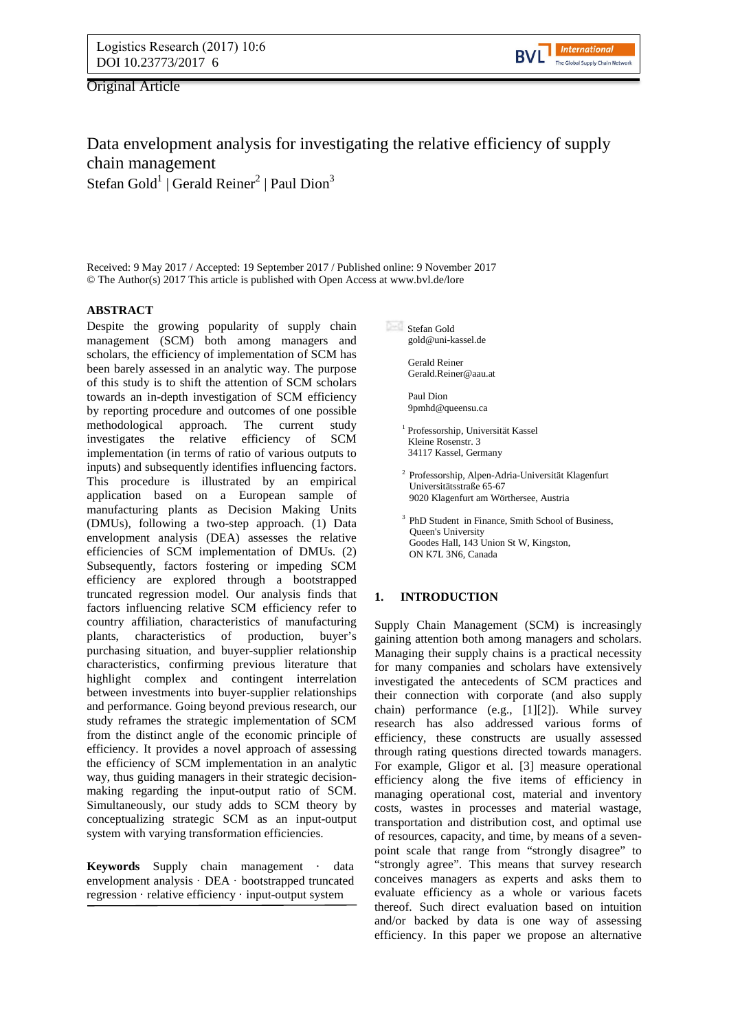Original Article



# Data envelopment analysis for investigating the relative efficiency of supply chain management Stefan Gold $^1$  | Gerald Reiner $^2$  | Paul Dion $^3$

Received: 9 May 2017 / Accepted: 19 September 2017 / Published online: 9 November 2017 © The Author(s) 2017 This article is published with Open Access at www.bvl.de/lore

# **ABSTRACT**

Despite the growing popularity of supply chain management (SCM) both among managers and scholars, the efficiency of implementation of SCM has been barely assessed in an analytic way. The purpose of this study is to shift the attention of SCM scholars towards an in-depth investigation of SCM efficiency by reporting procedure and outcomes of one possible methodological approach. The current study investigates the relative efficiency of SCM implementation (in terms of ratio of various outputs to inputs) and subsequently identifies influencing factors. This procedure is illustrated by an empirical application based on a European sample of manufacturing plants as Decision Making Units (DMUs), following a two-step approach. (1) Data envelopment analysis (DEA) assesses the relative efficiencies of SCM implementation of DMUs. (2) Subsequently, factors fostering or impeding SCM efficiency are explored through a bootstrapped truncated regression model. Our analysis finds that factors influencing relative SCM efficiency refer to country affiliation, characteristics of manufacturing plants, characteristics of production, buyer's purchasing situation, and buyer-supplier relationship characteristics, confirming previous literature that highlight complex and contingent interrelation between investments into buyer-supplier relationships and performance. Going beyond previous research, our study reframes the strategic implementation of SCM from the distinct angle of the economic principle of efficiency. It provides a novel approach of assessing the efficiency of SCM implementation in an analytic way, thus guiding managers in their strategic decisionmaking regarding the input-output ratio of SCM. Simultaneously, our study adds to SCM theory by conceptualizing strategic SCM as an input-output system with varying transformation efficiencies.

**Keywords** Supply chain management · data envelopment analysis · DEA · bootstrapped truncated regression · relative efficiency · input-output system

Stefan Gold gold@uni-kassel.de

> Gerald Reiner Gerald.Reiner@aau.at

Paul Dion 9pmhd@queensu.ca

<sup>1</sup> Professorship, Universität Kassel Kleine Rosenstr. 3 34117 Kassel, Germany

- 2 Professorship, Alpen-Adria-Universität Klagenfurt Universitätsstraße 65-67 9020 Klagenfurt am Wörthersee, Austria
- <sup>3</sup> PhD Student in Finance, Smith School of Business, Queen's University Goodes Hall, 143 Union St W, Kingston, ON K7L 3N6, Canada

# **1. INTRODUCTION**

Supply Chain Management (SCM) is increasingly gaining attention both among managers and scholars. Managing their supply chains is a practical necessity for many companies and scholars have extensively investigated the antecedents of SCM practices and their connection with corporate (and also supply chain) performance (e.g., [\[1\]](#page-12-0)[\[2\]](#page-12-1)). While survey research has also addressed various forms of efficiency, these constructs are usually assessed through rating questions directed towards managers. For example, Gligor et al. [\[3\]](#page-12-2) measure operational efficiency along the five items of efficiency in managing operational cost, material and inventory costs, wastes in processes and material wastage, transportation and distribution cost, and optimal use of resources, capacity, and time, by means of a sevenpoint scale that range from "strongly disagree" to "strongly agree". This means that survey research conceives managers as experts and asks them to evaluate efficiency as a whole or various facets thereof. Such direct evaluation based on intuition and/or backed by data is one way of assessing efficiency. In this paper we propose an alternative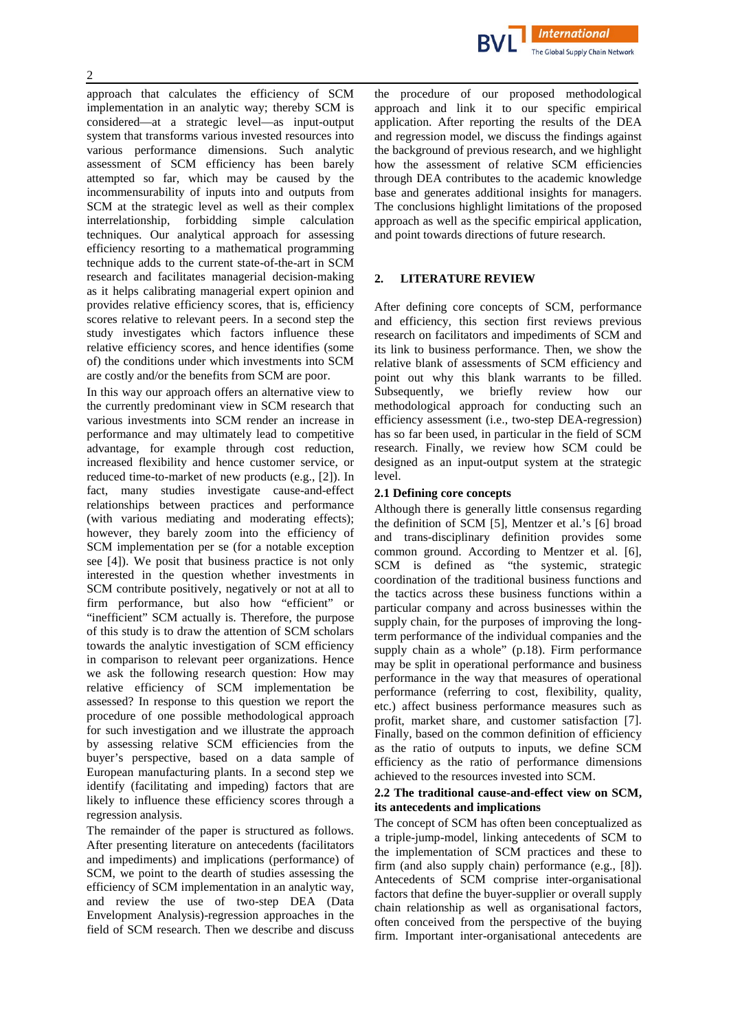

approach that calculates the efficiency of SCM implementation in an analytic way; thereby SCM is considered—at a strategic level—as input-output system that transforms various invested resources into various performance dimensions. Such analytic assessment of SCM efficiency has been barely attempted so far, which may be caused by the incommensurability of inputs into and outputs from SCM at the strategic level as well as their complex interrelationship, forbidding simple calculation techniques. Our analytical approach for assessing efficiency resorting to a mathematical programming technique adds to the current state-of-the-art in SCM research and facilitates managerial decision-making as it helps calibrating managerial expert opinion and provides relative efficiency scores, that is, efficiency scores relative to relevant peers. In a second step the study investigates which factors influence these relative efficiency scores, and hence identifies (some of) the conditions under which investments into SCM are costly and/or the benefits from SCM are poor.

In this way our approach offers an alternative view to the currently predominant view in SCM research that various investments into SCM render an increase in performance and may ultimately lead to competitive advantage, for example through cost reduction, increased flexibility and hence customer service, or reduced time-to-market of new products (e.g., [\[2\]](#page-12-1)). In fact, many studies investigate cause-and-effect relationships between practices and performance (with various mediating and moderating effects); however, they barely zoom into the efficiency of SCM implementation per se (for a notable exception see [\[4\]](#page-12-3)). We posit that business practice is not only interested in the question whether investments in SCM contribute positively, negatively or not at all to firm performance, but also how "efficient" or "inefficient" SCM actually is. Therefore, the purpose of this study is to draw the attention of SCM scholars towards the analytic investigation of SCM efficiency in comparison to relevant peer organizations. Hence we ask the following research question: How may relative efficiency of SCM implementation be assessed? In response to this question we report the procedure of one possible methodological approach for such investigation and we illustrate the approach by assessing relative SCM efficiencies from the buyer's perspective, based on a data sample of European manufacturing plants. In a second step we identify (facilitating and impeding) factors that are likely to influence these efficiency scores through a regression analysis.

The remainder of the paper is structured as follows. After presenting literature on antecedents (facilitators and impediments) and implications (performance) of SCM, we point to the dearth of studies assessing the efficiency of SCM implementation in an analytic way, and review the use of two-step DEA (Data Envelopment Analysis)-regression approaches in the field of SCM research. Then we describe and discuss

the procedure of our proposed methodological approach and link it to our specific empirical application. After reporting the results of the DEA and regression model, we discuss the findings against the background of previous research, and we highlight how the assessment of relative SCM efficiencies through DEA contributes to the academic knowledge base and generates additional insights for managers. The conclusions highlight limitations of the proposed approach as well as the specific empirical application, and point towards directions of future research.

# **2. LITERATURE REVIEW**

After defining core concepts of SCM, performance and efficiency, this section first reviews previous research on facilitators and impediments of SCM and its link to business performance. Then, we show the relative blank of assessments of SCM efficiency and point out why this blank warrants to be filled. Subsequently, we briefly review how our methodological approach for conducting such an efficiency assessment (i.e., two-step DEA-regression) has so far been used, in particular in the field of SCM research. Finally, we review how SCM could be designed as an input-output system at the strategic level.

# **2.1 Defining core concepts**

Although there is generally little consensus regarding the definition of SCM [\[5\]](#page-12-4), Mentzer et al.'s [\[6\]](#page-12-5) broad and trans-disciplinary definition provides some common ground. According to Mentzer et al. [\[6\]](#page-12-5), SCM is defined as "the systemic, strategic coordination of the traditional business functions and the tactics across these business functions within a particular company and across businesses within the supply chain, for the purposes of improving the longterm performance of the individual companies and the supply chain as a whole" (p.18). Firm performance may be split in operational performance and business performance in the way that measures of operational performance (referring to cost, flexibility, quality, etc.) affect business performance measures such as profit, market share, and customer satisfaction [\[7\]](#page-12-6). Finally, based on the common definition of efficiency as the ratio of outputs to inputs, we define SCM efficiency as the ratio of performance dimensions achieved to the resources invested into SCM.

# **2.2 The traditional cause-and-effect view on SCM, its antecedents and implications**

The concept of SCM has often been conceptualized as a triple-jump-model, linking antecedents of SCM to the implementation of SCM practices and these to firm (and also supply chain) performance (e.g., [\[8\]](#page-13-0)). Antecedents of SCM comprise inter-organisational factors that define the buyer-supplier or overall supply chain relationship as well as organisational factors, often conceived from the perspective of the buying firm. Important inter-organisational antecedents are

2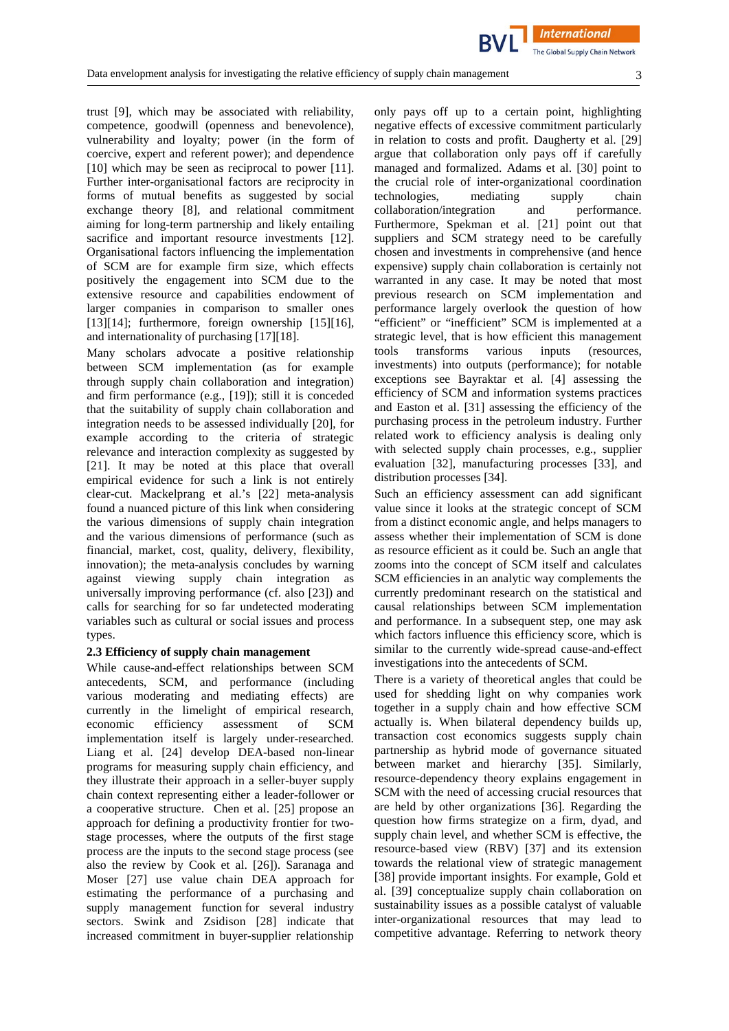**International** 

trust [\[9\]](#page-13-1), which may be associated with reliability, competence, goodwill (openness and benevolence), vulnerability and loyalty; power (in the form of coercive, expert and referent power); and dependence [\[10\]](#page-13-2) which may be seen as reciprocal to power [\[11\]](#page-13-3). Further inter-organisational factors are reciprocity in forms of mutual benefits as suggested by social exchange theory [\[8\]](#page-13-0), and relational commitment aiming for long-term partnership and likely entailing sacrifice and important resource investments [\[12\]](#page-13-4). Organisational factors influencing the implementation of SCM are for example firm size, which effects positively the engagement into SCM due to the extensive resource and capabilities endowment of larger companies in comparison to smaller ones  $[13][14]$  $[13][14]$ ; furthermore, foreign ownership  $[15][16]$  $[15][16]$ , and internationality of purchasing [\[17\]](#page-13-9)[\[18\]](#page-13-10).

Many scholars advocate a positive relationship between SCM implementation (as for example through supply chain collaboration and integration) and firm performance (e.g., [\[19\]](#page-13-11)); still it is conceded that the suitability of supply chain collaboration and integration needs to be assessed individually [\[20\]](#page-13-12), for example according to the criteria of strategic relevance and interaction complexity as suggested by [\[21\]](#page-13-13). It may be noted at this place that overall empirical evidence for such a link is not entirely clear-cut. Mackelprang et al.'s [\[22\]](#page-13-14) meta-analysis found a nuanced picture of this link when considering the various dimensions of supply chain integration and the various dimensions of performance (such as financial, market, cost, quality, delivery, flexibility, innovation); the meta-analysis concludes by warning against viewing supply chain integration as universally improving performance (cf. also [\[23\]](#page-13-15)) and calls for searching for so far undetected moderating variables such as cultural or social issues and process types.

#### **2.3 Efficiency of supply chain management**

While cause-and-effect relationships between SCM antecedents, SCM, and performance (including various moderating and mediating effects) are currently in the limelight of empirical research, economic efficiency assessment of SCM implementation itself is largely under-researched. Liang et al. [\[24\]](#page-13-16) develop DEA-based non-linear programs for measuring supply chain efficiency, and they illustrate their approach in a seller-buyer supply chain context representing either a leader-follower or a cooperative structure. Chen et al. [\[25\]](#page-13-17) propose an approach for defining a productivity frontier for twostage processes, where the outputs of the first stage process are the inputs to the second stage process (see also the review by Cook et al. [\[26\]](#page-13-18)). Saranaga and Moser [\[27\]](#page-13-19) use value chain DEA approach for estimating the performance of a purchasing and supply management function for several industry sectors. Swink and Zsidison [\[28\]](#page-13-20) indicate that increased commitment in buyer-supplier relationship

only pays off up to a certain point, highlighting negative effects of excessive commitment particularly in relation to costs and profit. Daugherty et al. [\[29\]](#page-13-21) argue that collaboration only pays off if carefully managed and formalized. Adams et al. [\[30\]](#page-13-22) point to the crucial role of inter-organizational coordination technologies, mediating supply chain<br>collaboration/integration and performance. collaboration/integration Furthermore, Spekman et al. [\[21\]](#page-13-13) point out that suppliers and SCM strategy need to be carefully chosen and investments in comprehensive (and hence expensive) supply chain collaboration is certainly not warranted in any case. It may be noted that most previous research on SCM implementation and performance largely overlook the question of how "efficient" or "inefficient" SCM is implemented at a strategic level, that is how efficient this management tools transforms various inputs (resources, investments) into outputs (performance); for notable exceptions see Bayraktar et al. [\[4\]](#page-12-3) assessing the efficiency of SCM and information systems practices and Easton et al. [\[31\]](#page-13-23) assessing the efficiency of the purchasing process in the petroleum industry. Further related work to efficiency analysis is dealing only with selected supply chain processes, e.g., supplier evaluation [\[32\]](#page-13-24), manufacturing processes [\[33\]](#page-13-25), and distribution processes [\[34\]](#page-13-26).

Such an efficiency assessment can add significant value since it looks at the strategic concept of SCM from a distinct economic angle, and helps managers to assess whether their implementation of SCM is done as resource efficient as it could be. Such an angle that zooms into the concept of SCM itself and calculates SCM efficiencies in an analytic way complements the currently predominant research on the statistical and causal relationships between SCM implementation and performance. In a subsequent step, one may ask which factors influence this efficiency score, which is similar to the currently wide-spread cause-and-effect investigations into the antecedents of SCM.

There is a variety of theoretical angles that could be used for shedding light on why companies work together in a supply chain and how effective SCM actually is. When bilateral dependency builds up, transaction cost economics suggests supply chain partnership as hybrid mode of governance situated between market and hierarchy [\[35\]](#page-14-0). Similarly, resource-dependency theory explains engagement in SCM with the need of accessing crucial resources that are held by other organizations [\[36\]](#page-14-1). Regarding the question how firms strategize on a firm, dyad, and supply chain level, and whether SCM is effective, the resource-based view (RBV) [\[37\]](#page-14-2) and its extension towards the relational view of strategic management [\[38\]](#page-14-3) provide important insights. For example, Gold et al. [\[39\]](#page-14-4) conceptualize supply chain collaboration on sustainability issues as a possible catalyst of valuable inter-organizational resources that may lead to competitive advantage. Referring to network theory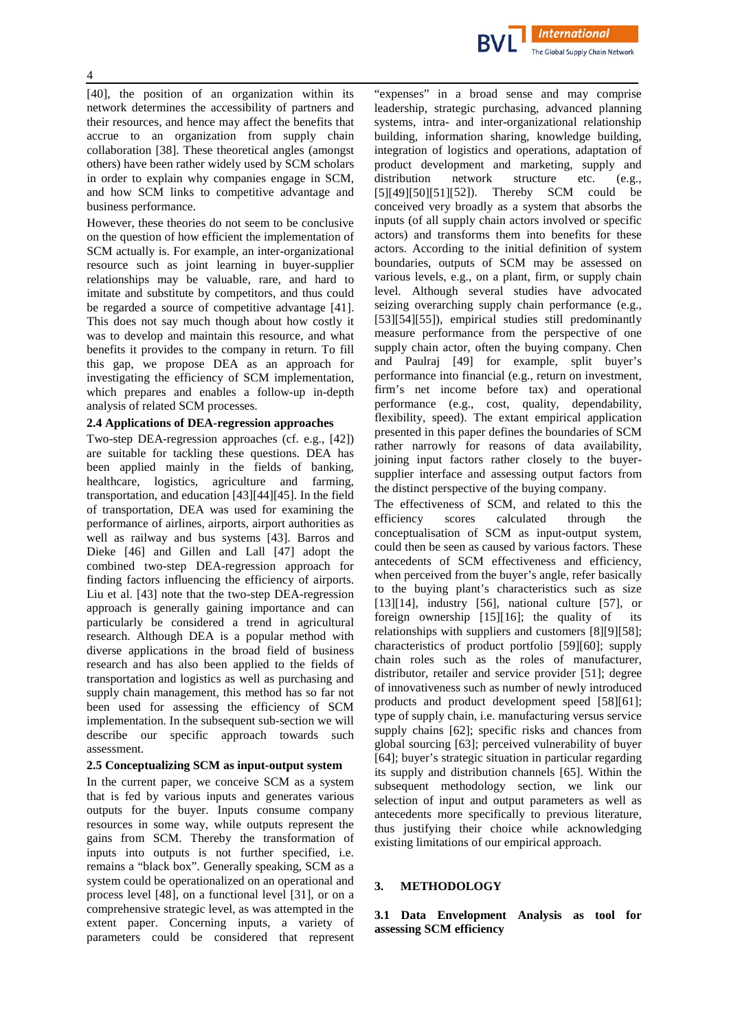

[\[40\]](#page-14-5), the position of an organization within its network determines the accessibility of partners and their resources, and hence may affect the benefits that accrue to an organization from supply chain collaboration [\[38\]](#page-14-3). These theoretical angles (amongst others) have been rather widely used by SCM scholars in order to explain why companies engage in SCM, and how SCM links to competitive advantage and business performance.

However, these theories do not seem to be conclusive on the question of how efficient the implementation of SCM actually is. For example, an inter-organizational resource such as joint learning in buyer-supplier relationships may be valuable, rare, and hard to imitate and substitute by competitors, and thus could be regarded a source of competitive advantage [\[41\]](#page-14-6). This does not say much though about how costly it was to develop and maintain this resource, and what benefits it provides to the company in return. To fill this gap, we propose DEA as an approach for investigating the efficiency of SCM implementation, which prepares and enables a follow-up in-depth analysis of related SCM processes.

# **2.4 Applications of DEA-regression approaches**

Two-step DEA-regression approaches (cf. e.g., [\[42\]](#page-14-7)) are suitable for tackling these questions. DEA has been applied mainly in the fields of banking, healthcare, logistics, agriculture and farming, transportation, and education [\[43\]](#page-14-8)[\[44\]](#page-14-9)[\[45\]](#page-14-10). In the field of transportation, DEA was used for examining the performance of airlines, airports, airport authorities as well as railway and bus systems [\[43\]](#page-14-8). Barros and Dieke [\[46\]](#page-14-11) and Gillen and Lall [\[47\]](#page-14-12) adopt the combined two-step DEA-regression approach for finding factors influencing the efficiency of airports. Liu et al. [\[43\]](#page-14-8) note that the two-step DEA-regression approach is generally gaining importance and can particularly be considered a trend in agricultural research. Although DEA is a popular method with diverse applications in the broad field of business research and has also been applied to the fields of transportation and logistics as well as purchasing and supply chain management, this method has so far not been used for assessing the efficiency of SCM implementation. In the subsequent sub-section we will describe our specific approach towards such assessment.

#### **2.5 Conceptualizing SCM as input-output system**

In the current paper, we conceive SCM as a system that is fed by various inputs and generates various outputs for the buyer. Inputs consume company resources in some way, while outputs represent the gains from SCM. Thereby the transformation of inputs into outputs is not further specified, i.e. remains a "black box". Generally speaking, SCM as a system could be operationalized on an operational and process level [\[48\]](#page-14-13), on a functional level [\[31\]](#page-13-23), or on a comprehensive strategic level, as was attempted in the extent paper. Concerning inputs, a variety of parameters could be considered that represent

"expenses" in a broad sense and may comprise leadership, strategic purchasing, advanced planning systems, intra- and inter-organizational relationship building, information sharing, knowledge building, integration of logistics and operations, adaptation of product development and marketing, supply and distribution network structure etc. (e.g., [\[5\]](#page-12-4)[\[49\]](#page-14-14)[\[50\]](#page-14-15)[\[51\]](#page-14-16)[\[52\]](#page-14-17)). Thereby SCM could be conceived very broadly as a system that absorbs the inputs (of all supply chain actors involved or specific actors) and transforms them into benefits for these actors. According to the initial definition of system boundaries, outputs of SCM may be assessed on various levels, e.g., on a plant, firm, or supply chain level. Although several studies have advocated seizing overarching supply chain performance (e.g., [\[53\]](#page-14-18)[\[54\]](#page-14-19)[\[55\]](#page-14-20)), empirical studies still predominantly measure performance from the perspective of one supply chain actor, often the buying company. Chen and Paulraj [\[49\]](#page-14-14) for example, split buyer's performance into financial (e.g., return on investment, firm's net income before tax) and operational performance (e.g., cost, quality, dependability, flexibility, speed). The extant empirical application presented in this paper defines the boundaries of SCM rather narrowly for reasons of data availability, joining input factors rather closely to the buyersupplier interface and assessing output factors from the distinct perspective of the buying company.

The effectiveness of SCM, and related to this the efficiency scores calculated through the conceptualisation of SCM as input-output system, could then be seen as caused by various factors. These antecedents of SCM effectiveness and efficiency, when perceived from the buyer's angle, refer basically to the buying plant's characteristics such as size  $[13][14]$  $[13][14]$ , industry  $[56]$ , national culture  $[57]$ , or foreign ownership [\[15\]](#page-13-7)[\[16\]](#page-13-8); the quality of its relationships with suppliers and customers [\[8\]](#page-13-0)[\[9\]](#page-13-1)[\[58\]](#page-14-23); characteristics of product portfolio [\[59\]](#page-14-24)[\[60\]](#page-14-25); supply chain roles such as the roles of manufacturer, distributor, retailer and service provider [\[51\]](#page-14-16); degree of innovativeness such as number of newly introduced products and product development speed [\[58\]](#page-14-23)[\[61\]](#page-14-26); type of supply chain, i.e. manufacturing versus service supply chains [\[62\]](#page-15-0); specific risks and chances from global sourcing [\[63\]](#page-15-1); perceived vulnerability of buyer [\[64\]](#page-15-2); buyer's strategic situation in particular regarding its supply and distribution channels [\[65\]](#page-15-3). Within the subsequent methodology section, we link our selection of input and output parameters as well as antecedents more specifically to previous literature, thus justifying their choice while acknowledging existing limitations of our empirical approach.

# **3. METHODOLOGY**

**3.1 Data Envelopment Analysis as tool for assessing SCM efficiency**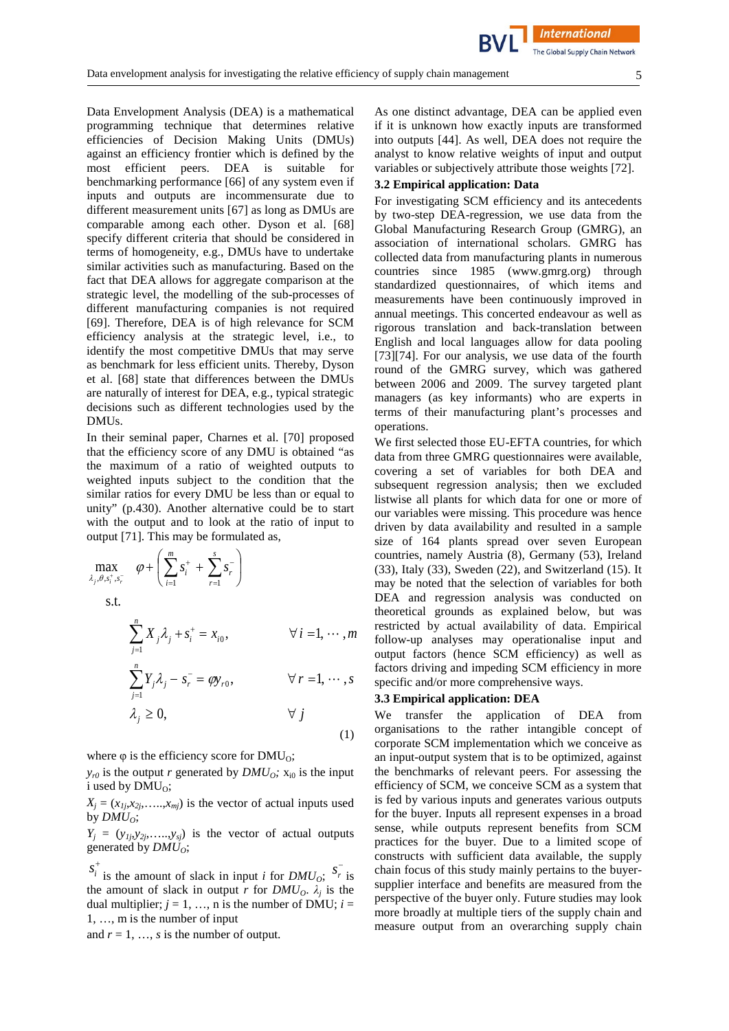Data Envelopment Analysis (DEA) is a mathematical programming technique that determines relative efficiencies of Decision Making Units (DMUs) against an efficiency frontier which is defined by the most efficient peers. DEA is suitable for benchmarking performance [\[66\]](#page-15-4) of any system even if inputs and outputs are incommensurate due to different measurement units [\[67\]](#page-15-5) as long as DMUs are comparable among each other. Dyson et al. [\[68\]](#page-15-6) specify different criteria that should be considered in terms of homogeneity, e.g., DMUs have to undertake similar activities such as manufacturing. Based on the fact that DEA allows for aggregate comparison at the strategic level, the modelling of the sub-processes of different manufacturing companies is not required [\[69\]](#page-15-7). Therefore, DEA is of high relevance for SCM efficiency analysis at the strategic level, i.e., to identify the most competitive DMUs that may serve as benchmark for less efficient units. Thereby, Dyson et al. [\[68\]](#page-15-6) state that differences between the DMUs are naturally of interest for DEA, e.g., typical strategic decisions such as different technologies used by the DMUs.

In their seminal paper, Charnes et al. [\[70\]](#page-15-8) proposed that the efficiency score of any DMU is obtained "as the maximum of a ratio of weighted outputs to weighted inputs subject to the condition that the similar ratios for every DMU be less than or equal to unity" (p.430). Another alternative could be to start with the output and to look at the ratio of input to output [\[71\]](#page-15-9). This may be formulated as,

$$
\max_{\lambda_j, \theta, s_i^+, s_r^-} \varphi + \left( \sum_{i=1}^m s_i^+ + \sum_{r=1}^s s_r^- \right)
$$
  
s.t.  

$$
\sum_{j=1}^n X_j \lambda_j + s_i^+ = x_{i0}, \qquad \forall i = 1, \dots, m
$$
  

$$
\sum_{j=1}^n Y_j \lambda_j - s_r^- = \varphi y_{r0}, \qquad \forall r = 1, \dots, s
$$
  

$$
\lambda_j \ge 0, \qquad \forall j
$$

where  $\varphi$  is the efficiency score for DMU<sub>0</sub>;

 $y_{r0}$  is the output *r* generated by *DMU*<sub>0</sub>;  $x_{i0}$  is the input i used by  $DMU_0$ ;

 $X_i = (x_{1i}, x_{2i}, \ldots, x_{mi})$  is the vector of actual inputs used by  $DMU_O$ ;

 $Y_i = (y_{1i}, y_{2i}, \ldots, y_{si})$  is the vector of actual outputs generated by  $DMU<sub>O</sub>$ ;

 $s_i^+$  is the amount of slack in input *i* for *DMU<sub>O</sub>*;  $s_i^-$  is the amount of slack in output *r* for  $DMU_0$ .  $\lambda_i$  is the dual multiplier;  $j = 1, ..., n$  is the number of DMU;  $i =$ 1, …, m is the number of input

and  $r = 1, \ldots, s$  is the number of output.

As one distinct advantage, DEA can be applied even if it is unknown how exactly inputs are transformed into outputs [\[44\]](#page-14-9). As well, DEA does not require the analyst to know relative weights of input and output variables or subjectively attribute those weights [\[72\]](#page-15-10).

### **3.2 Empirical application: Data**

For investigating SCM efficiency and its antecedents by two-step DEA-regression, we use data from the Global Manufacturing Research Group (GMRG), an association of international scholars. GMRG has collected data from manufacturing plants in numerous countries since 1985 (www.gmrg.org) through standardized questionnaires, of which items and measurements have been continuously improved in annual meetings. This concerted endeavour as well as rigorous translation and back-translation between English and local languages allow for data pooling [\[73\]](#page-15-11)[\[74\]](#page-15-12). For our analysis, we use data of the fourth round of the GMRG survey, which was gathered between 2006 and 2009. The survey targeted plant managers (as key informants) who are experts in terms of their manufacturing plant's processes and operations.

We first selected those EU-EFTA countries, for which data from three GMRG questionnaires were available, covering a set of variables for both DEA and subsequent regression analysis; then we excluded listwise all plants for which data for one or more of our variables were missing. This procedure was hence driven by data availability and resulted in a sample size of 164 plants spread over seven European countries, namely Austria (8), Germany (53), Ireland (33), Italy (33), Sweden (22), and Switzerland (15). It may be noted that the selection of variables for both DEA and regression analysis was conducted on theoretical grounds as explained below, but was restricted by actual availability of data. Empirical follow-up analyses may operationalise input and output factors (hence SCM efficiency) as well as factors driving and impeding SCM efficiency in more specific and/or more comprehensive ways.

#### **3.3 Empirical application: DEA**

(1)

We transfer the application of DEA from organisations to the rather intangible concept of corporate SCM implementation which we conceive as an input-output system that is to be optimized, against the benchmarks of relevant peers. For assessing the efficiency of SCM, we conceive SCM as a system that is fed by various inputs and generates various outputs for the buyer. Inputs all represent expenses in a broad sense, while outputs represent benefits from SCM practices for the buyer. Due to a limited scope of constructs with sufficient data available, the supply chain focus of this study mainly pertains to the buyersupplier interface and benefits are measured from the perspective of the buyer only. Future studies may look more broadly at multiple tiers of the supply chain and measure output from an overarching supply chain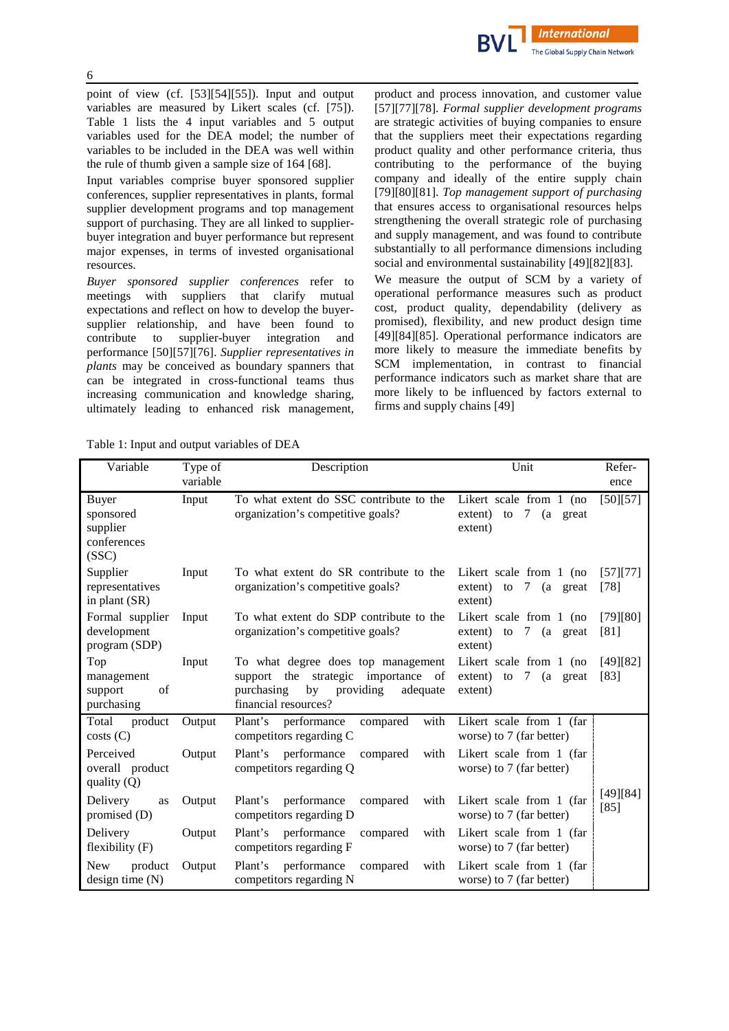point of view (cf. [\[53\]](#page-14-18)[\[54\]](#page-14-19)[\[55\]](#page-14-20)). Input and output variables are measured by Likert scales (cf. [\[75\]](#page-15-13)). Table 1 lists the 4 input variables and 5 output variables used for the DEA model; the number of variables to be included in the DEA was well within the rule of thumb given a sample size of 164 [\[68\]](#page-15-6).

Input variables comprise buyer sponsored supplier conferences, supplier representatives in plants, formal supplier development programs and top management support of purchasing. They are all linked to supplierbuyer integration and buyer performance but represent major expenses, in terms of invested organisational resources.

*Buyer sponsored supplier conferences* refer to meetings with suppliers that clarify mutual expectations and reflect on how to develop the buyersupplier relationship, and have been found to contribute to supplier-buyer integration and performance [\[50\]](#page-14-15)[\[57\]](#page-14-22)[\[76\]](#page-15-14). *Supplier representatives in plants* may be conceived as boundary spanners that can be integrated in cross-functional teams thus increasing communication and knowledge sharing, ultimately leading to enhanced risk management, product and process innovation, and customer value [\[57\]](#page-14-22)[\[77\]](#page-15-15)[\[78\]](#page-15-16). *Formal supplier development programs* are strategic activities of buying companies to ensure that the suppliers meet their expectations regarding product quality and other performance criteria, thus contributing to the performance of the buying company and ideally of the entire supply chain [\[79\]](#page-15-17)[\[80\]](#page-15-18)[\[81\]](#page-15-19). *Top management support of purchasing* that ensures access to organisational resources helps strengthening the overall strategic role of purchasing and supply management, and was found to contribute substantially to all performance dimensions including social and environmental sustainability [\[49\]](#page-14-14)[\[82\]](#page-15-20)[\[83\]](#page-15-21).

We measure the output of SCM by a variety of operational performance measures such as product cost, product quality, dependability (delivery as promised), flexibility, and new product design time [\[49\]](#page-14-14)[\[84\]](#page-15-22)[\[85\]](#page-15-23). Operational performance indicators are more likely to measure the immediate benefits by SCM implementation, in contrast to financial performance indicators such as market share that are more likely to be influenced by factors external to firms and supply chains [\[49\]](#page-14-14)

Table 1: Input and output variables of DEA

| Variable                                               | Type of<br>variable | Description                                                                                                                                             | Unit                                                                    | Refer-<br>ence     |
|--------------------------------------------------------|---------------------|---------------------------------------------------------------------------------------------------------------------------------------------------------|-------------------------------------------------------------------------|--------------------|
| Buyer<br>sponsored<br>supplier<br>conferences<br>(SSC) | Input               | To what extent do SSC contribute to the<br>organization's competitive goals?                                                                            | Likert scale from 1 (no<br>extent)<br>7<br>to<br>(a<br>great<br>extent) | [50][57]           |
| Supplier<br>representatives<br>in plant (SR)           | Input               | To what extent do SR contribute to the<br>organization's competitive goals?                                                                             | Likert scale from 1 (no<br>7<br>extent)<br>(a great<br>to<br>extent)    | [57][77]<br>[78]   |
| Formal supplier<br>development<br>program (SDP)        | Input               | To what extent do SDP contribute to the<br>organization's competitive goals?                                                                            | Likert scale from 1 (no<br>7<br>extent)<br>(a great<br>to<br>extent)    | [79][80]<br>[81]   |
| Top<br>management<br>support<br>of<br>purchasing       | Input               | To what degree does top management<br>strategic<br>the<br>importance of<br>support<br>purchasing<br>providing<br>adequate<br>by<br>financial resources? | Likert scale from 1 (no<br>extent) to<br>7<br>(a great<br>extent)       | [49][82]<br>[83]   |
| Total<br>product<br>costs(C)                           | Output              | Plant's<br>performance<br>compared<br>with<br>competitors regarding C                                                                                   | Likert scale from 1 (far<br>worse) to 7 (far better)                    |                    |
| Perceived<br>overall product<br>quality $(Q)$          | Output              | performance<br>Plant's<br>compared<br>with<br>competitors regarding Q                                                                                   | Likert scale from 1 (far)<br>worse) to 7 (far better)                   |                    |
| Delivery<br>as<br>promised $(D)$                       | Output              | compared<br>Plant's<br>performance<br>with<br>competitors regarding D                                                                                   | Likert scale from 1 (far<br>worse) to 7 (far better)                    | [49][84]<br>$[85]$ |
| Delivery<br>flexibility $(F)$                          | Output              | performance<br>Plant's<br>with<br>compared<br>competitors regarding F                                                                                   | Likert scale from 1 (far)<br>worse) to 7 (far better)                   |                    |
| <b>New</b><br>product<br>design time $(N)$             | Output              | Plant's<br>performance<br>compared<br>with<br>competitors regarding N                                                                                   | Likert scale from 1 (far)<br>worse) to 7 (far better)                   |                    |

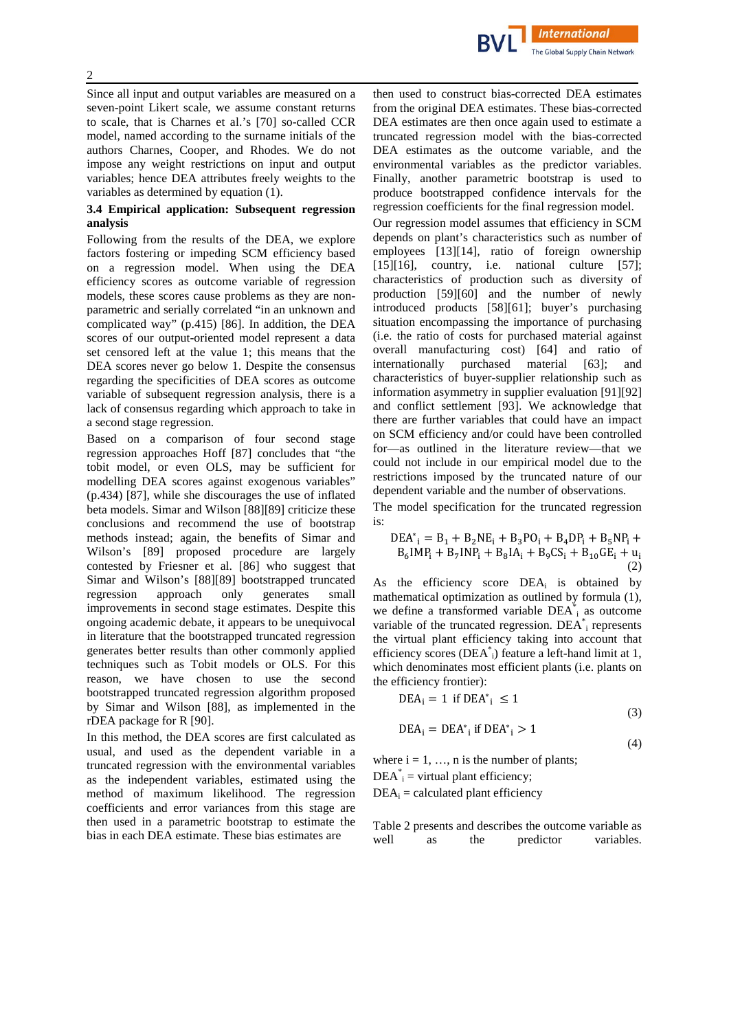Since all input and output variables are measured on a seven-point Likert scale, we assume constant returns to scale, that is Charnes et al.'s [\[70\]](#page-15-8) so-called CCR model, named according to the surname initials of the authors Charnes, Cooper, and Rhodes. We do not impose any weight restrictions on input and output variables; hence DEA attributes freely weights to the variables as determined by equation (1).

# **3.4 Empirical application: Subsequent regression analysis**

Following from the results of the DEA, we explore factors fostering or impeding SCM efficiency based on a regression model. When using the DEA efficiency scores as outcome variable of regression models, these scores cause problems as they are nonparametric and serially correlated "in an unknown and complicated way" (p.415) [\[86\]](#page-15-24). In addition, the DEA scores of our output-oriented model represent a data set censored left at the value 1; this means that the DEA scores never go below 1. Despite the consensus regarding the specificities of DEA scores as outcome variable of subsequent regression analysis, there is a lack of consensus regarding which approach to take in a second stage regression.

Based on a comparison of four second stage regression approaches Hoff [\[87\]](#page-15-25) concludes that "the tobit model, or even OLS, may be sufficient for modelling DEA scores against exogenous variables" (p.434) [\[87\]](#page-15-25), while she discourages the use of inflated beta models. Simar and Wilson [\[88\]](#page-15-26)[\[89\]](#page-16-0) criticize these conclusions and recommend the use of bootstrap methods instead; again, the benefits of Simar and Wilson's [\[89\]](#page-16-0) proposed procedure are largely contested by Friesner et al. [\[86\]](#page-15-24) who suggest that Simar and Wilson's [\[88\]](#page-15-26)[\[89\]](#page-16-0) bootstrapped truncated regression approach only generates small improvements in second stage estimates. Despite this ongoing academic debate, it appears to be unequivocal in literature that the bootstrapped truncated regression generates better results than other commonly applied techniques such as Tobit models or OLS. For this reason, we have chosen to use the second bootstrapped truncated regression algorithm proposed by Simar and Wilson [88], as implemented in the rDEA package for R [\[90\]](#page-16-1).

In this method, the DEA scores are first calculated as usual, and used as the dependent variable in a truncated regression with the environmental variables as the independent variables, estimated using the method of maximum likelihood. The regression coefficients and error variances from this stage are then used in a parametric bootstrap to estimate the bias in each DEA estimate. These bias estimates are

then used to construct bias-corrected DEA estimates from the original DEA estimates. These bias-corrected DEA estimates are then once again used to estimate a truncated regression model with the bias-corrected DEA estimates as the outcome variable, and the environmental variables as the predictor variables. Finally, another parametric bootstrap is used to produce bootstrapped confidence intervals for the regression coefficients for the final regression model.

**International** The Global Supply Chain Network

Our regression model assumes that efficiency in SCM depends on plant's characteristics such as number of employees [\[13\]](#page-13-5)[\[14\]](#page-13-6), ratio of foreign ownership  $[15][16]$  $[15][16]$ , country, i.e. national culture  $[57]$ ; characteristics of production such as diversity of production [\[59\]](#page-14-24)[\[60\]](#page-14-25) and the number of newly introduced products [\[58\]](#page-14-23)[\[61\]](#page-14-26); buyer's purchasing situation encompassing the importance of purchasing (i.e. the ratio of costs for purchased material against overall manufacturing cost) [\[64\]](#page-15-2) and ratio of internationally purchased material [\[63\]](#page-15-1); and characteristics of buyer-supplier relationship such as information asymmetry in supplier evaluation [\[91\]](#page-16-2)[\[92\]](#page-16-3) and conflict settlement [\[93\]](#page-16-4). We acknowledge that there are further variables that could have an impact on SCM efficiency and/or could have been controlled for—as outlined in the literature review—that we could not include in our empirical model due to the restrictions imposed by the truncated nature of our dependent variable and the number of observations.

The model specification for the truncated regression is:

$$
DEA*i = B1 + B2NEi + B3POi + B4DPi + B5NPi +B6IMPi + B7INPi + B8IAi + B9CSi + B10GEi + ui
$$
\n(2)

As the efficiency score  $DEA_i$  is obtained by mathematical optimization as outlined by formula (1), we define a transformed variable  $DEA_{i}^{*}$  as outcome variable of the truncated regression.  $DEA$ <sup>\*</sup><sub>i</sub> represents the virtual plant efficiency taking into account that efficiency scores (DEA\* i) feature a left-hand limit at 1, which denominates most efficient plants (i.e. plants on the efficiency frontier):

$$
DEA_i = 1 \text{ if } DEA^*_{i} \le 1
$$

$$
DEA_i = DEA^*_{i} \text{ if } DEA^*_{i} > 1
$$

(3)

(4)

where  $i = 1, \ldots, n$  is the number of plants;

 $DEA^*_{i}$  = virtual plant efficiency;

 $DEA_i = calculated$  plant efficiency

Table 2 presents and describes the outcome variable as well as the predictor variables.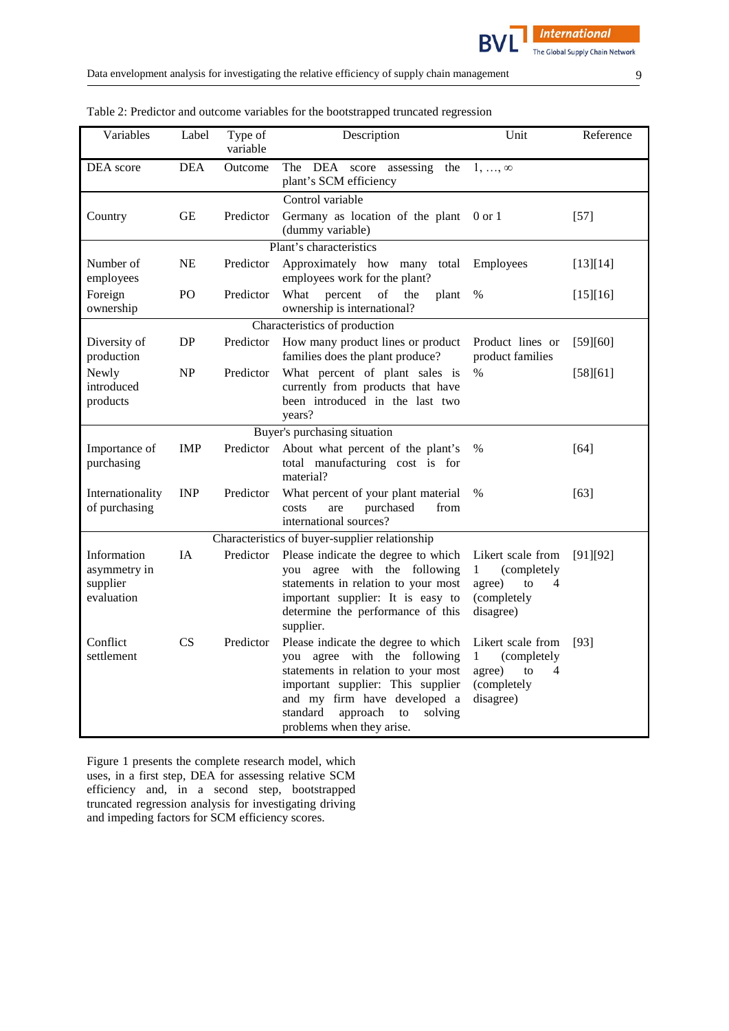| Variables                                             | Label          | Type of<br>variable | Description                                                                                                                                                                                                                                           | Unit                                                                                              | Reference |
|-------------------------------------------------------|----------------|---------------------|-------------------------------------------------------------------------------------------------------------------------------------------------------------------------------------------------------------------------------------------------------|---------------------------------------------------------------------------------------------------|-----------|
| DEA score                                             | <b>DEA</b>     | Outcome             | The DEA score assessing the<br>plant's SCM efficiency                                                                                                                                                                                                 | $1, \ldots, \infty$                                                                               |           |
| Country                                               | <b>GE</b>      | Predictor           | Control variable<br>Germany as location of the plant<br>(dummy variable)                                                                                                                                                                              | $0 \text{ or } 1$                                                                                 | $[57]$    |
|                                                       |                |                     | Plant's characteristics                                                                                                                                                                                                                               |                                                                                                   |           |
| Number of<br>employees                                | NE             | Predictor           | Approximately how many total<br>employees work for the plant?                                                                                                                                                                                         | Employees                                                                                         | [13][14]  |
| Foreign<br>ownership                                  | P <sub>O</sub> | Predictor           | What<br>percent<br>of<br>the<br>plant<br>ownership is international?                                                                                                                                                                                  | %                                                                                                 | [15][16]  |
|                                                       |                |                     | Characteristics of production                                                                                                                                                                                                                         |                                                                                                   |           |
| Diversity of<br>production                            | DP             | Predictor           | How many product lines or product<br>families does the plant produce?                                                                                                                                                                                 | Product lines or<br>product families                                                              | [59][60]  |
| Newly<br>introduced<br>products                       | NP             | Predictor           | What percent of plant sales is<br>currently from products that have<br>been introduced in the last two<br>years?                                                                                                                                      | $\%$                                                                                              | [58][61]  |
|                                                       |                |                     | Buyer's purchasing situation                                                                                                                                                                                                                          |                                                                                                   |           |
| Importance of<br>purchasing                           | <b>IMP</b>     | Predictor           | About what percent of the plant's<br>total manufacturing cost is for<br>material?                                                                                                                                                                     | %                                                                                                 | $[64]$    |
| Internationality<br>of purchasing                     | <b>INP</b>     | Predictor           | What percent of your plant material<br>purchased<br>from<br>costs<br>are<br>international sources?                                                                                                                                                    | $\%$                                                                                              | $[63]$    |
| Characteristics of buyer-supplier relationship        |                |                     |                                                                                                                                                                                                                                                       |                                                                                                   |           |
| Information<br>asymmetry in<br>supplier<br>evaluation | <b>IA</b>      | Predictor           | Please indicate the degree to which<br>you agree with the following<br>statements in relation to your most<br>important supplier: It is easy to<br>determine the performance of this<br>supplier.                                                     | Likert scale from<br>$\mathbf{1}$<br>(completely<br>agree)<br>4<br>to<br>(completely<br>disagree) | [91][92]  |
| Conflict<br>settlement                                | CS             | Predictor           | Please indicate the degree to which<br>you agree with the following<br>statements in relation to your most<br>important supplier: This supplier<br>and my firm have developed a<br>standard<br>approach<br>solving<br>to<br>problems when they arise. | Likert scale from<br>1<br>(completely<br>agree)<br>to<br>4<br>(completely<br>disagree)            | $[93]$    |

Table 2: Predictor and outcome variables for the bootstrapped truncated regression

Figure 1 presents the complete research model, which uses, in a first step, DEA for assessing relative SCM efficiency and, in a second step, bootstrapped truncated regression analysis for investigating driving and impeding factors for SCM efficiency scores.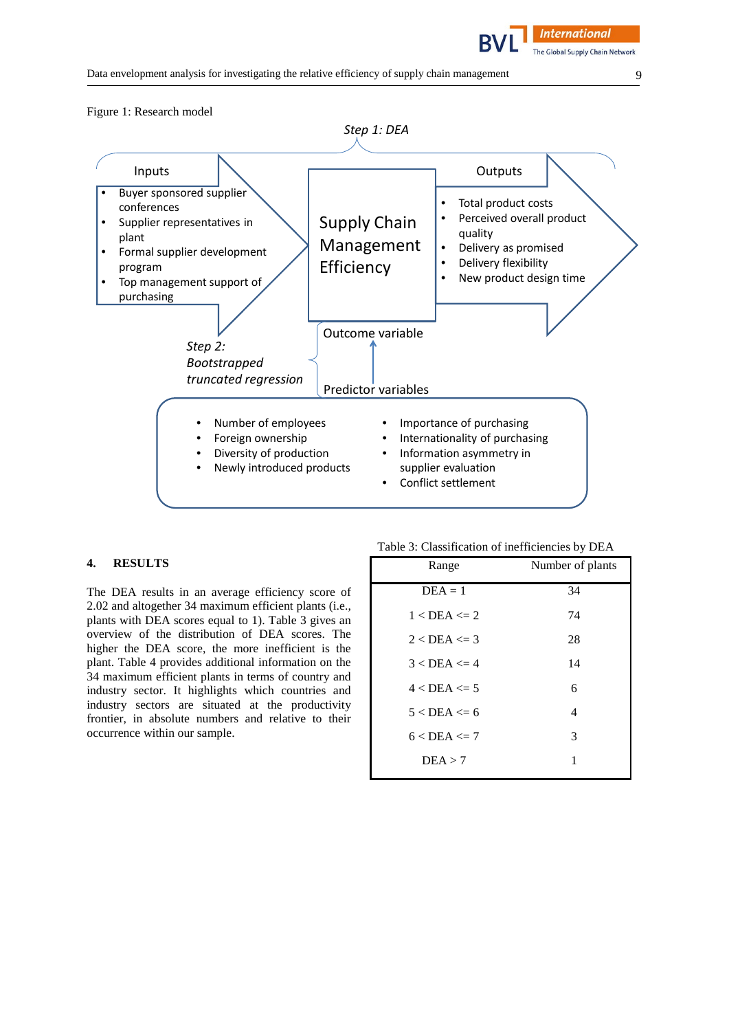

# **4. RESULTS**

The DEA results in an average efficiency score of 2.02 and altogether 34 maximum efficient plants (i.e., plants with DEA scores equal to 1). Table 3 gives an overview of the distribution of DEA scores. The higher the DEA score, the more inefficient is the plant. Table 4 provides additional information on the 34 maximum efficient plants in terms of country and industry sector. It highlights which countries and industry sectors are situated at the productivity frontier, in absolute numbers and relative to their occurrence within our sample.

| Table 3: Classification of inefficiencies by DEA |                  |  |  |
|--------------------------------------------------|------------------|--|--|
| Range                                            | Number of plants |  |  |
| $DEA = 1$                                        | 34               |  |  |
| $1 <$ DEA $\leq$ 2.                              | 74               |  |  |
| $2 <$ DEA $\leq$ 3                               | 28               |  |  |
| $3 <$ DEA $\leq$ 4                               | 14               |  |  |
| $4 <$ DEA $\leq$ 5                               | 6                |  |  |
| $5 < \text{DEA} \leq 6$                          | 4                |  |  |
| $6 <$ DEA $\leq$ 7                               | 3                |  |  |
| DEA > 7                                          | 1                |  |  |
|                                                  |                  |  |  |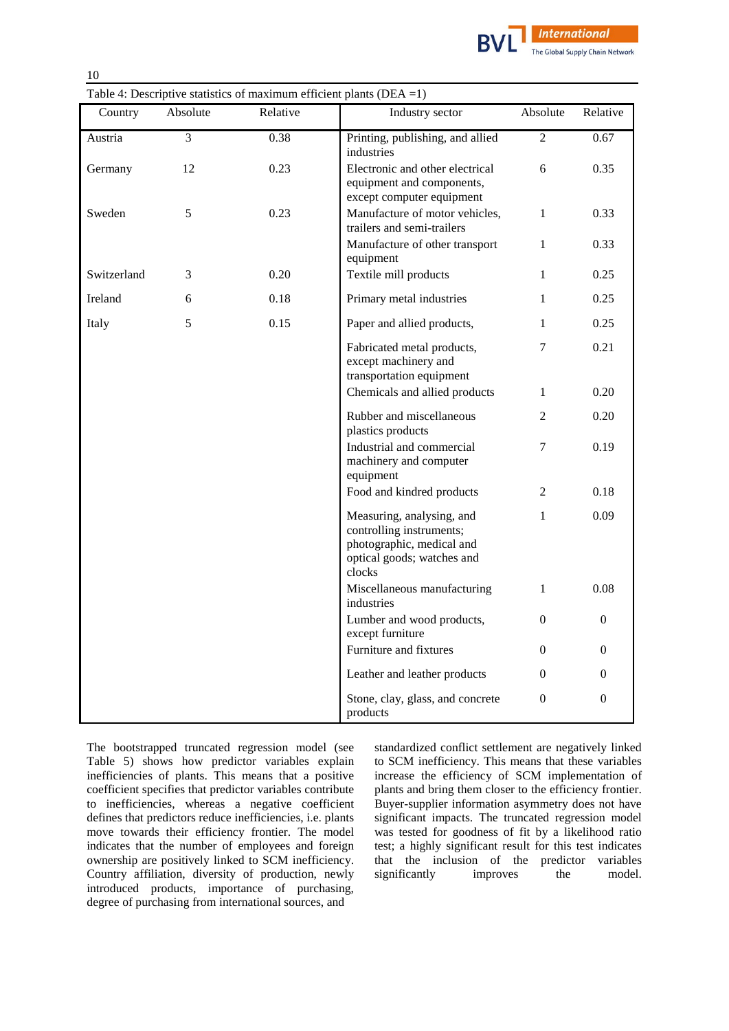

| Table 4: Descriptive statistics of maximum efficient plants (DEA = 1) |  |  |  |  |  |  |
|-----------------------------------------------------------------------|--|--|--|--|--|--|
|-----------------------------------------------------------------------|--|--|--|--|--|--|

| Country     | Absolute       | Relative | Industry sector                                                                                                            | Absolute         | Relative         |
|-------------|----------------|----------|----------------------------------------------------------------------------------------------------------------------------|------------------|------------------|
| Austria     | $\overline{3}$ | 0.38     | Printing, publishing, and allied<br>industries                                                                             | $\overline{2}$   | 0.67             |
| Germany     | 12             | 0.23     | Electronic and other electrical<br>equipment and components,<br>except computer equipment                                  | 6                | 0.35             |
| Sweden      | 5              | 0.23     | Manufacture of motor vehicles,<br>trailers and semi-trailers                                                               | $\mathbf{1}$     | 0.33             |
|             |                |          | Manufacture of other transport<br>equipment                                                                                | 1                | 0.33             |
| Switzerland | 3              | 0.20     | Textile mill products                                                                                                      | 1                | 0.25             |
| Ireland     | 6              | 0.18     | Primary metal industries                                                                                                   | 1                | 0.25             |
| Italy       | 5              | 0.15     | Paper and allied products,                                                                                                 | 1                | 0.25             |
|             |                |          | Fabricated metal products,<br>except machinery and<br>transportation equipment                                             | 7                | 0.21             |
|             |                |          | Chemicals and allied products                                                                                              | $\mathbf{1}$     | 0.20             |
|             |                |          | Rubber and miscellaneous<br>plastics products                                                                              | $\overline{2}$   | 0.20             |
|             |                |          | Industrial and commercial<br>machinery and computer<br>equipment                                                           | 7                | 0.19             |
|             |                |          | Food and kindred products                                                                                                  | 2                | 0.18             |
|             |                |          | Measuring, analysing, and<br>controlling instruments;<br>photographic, medical and<br>optical goods; watches and<br>clocks | 1                | 0.09             |
|             |                |          | Miscellaneous manufacturing<br>industries                                                                                  | $\mathbf{1}$     | 0.08             |
|             |                |          | Lumber and wood products,<br>except furniture                                                                              | $\overline{0}$   | $\mathbf{0}$     |
|             |                |          | Furniture and fixtures                                                                                                     | 0                | $\Omega$         |
|             |                |          | Leather and leather products                                                                                               | 0                | $\overline{0}$   |
|             |                |          | Stone, clay, glass, and concrete<br>products                                                                               | $\boldsymbol{0}$ | $\boldsymbol{0}$ |

The bootstrapped truncated regression model (see Table 5) shows how predictor variables explain inefficiencies of plants. This means that a positive coefficient specifies that predictor variables contribute to inefficiencies, whereas a negative coefficient defines that predictors reduce inefficiencies, i.e. plants move towards their efficiency frontier. The model indicates that the number of employees and foreign ownership are positively linked to SCM inefficiency. Country affiliation, diversity of production, newly introduced products, importance of purchasing, degree of purchasing from international sources, and

standardized conflict settlement are negatively linked to SCM inefficiency. This means that these variables increase the efficiency of SCM implementation of plants and bring them closer to the efficiency frontier. Buyer-supplier information asymmetry does not have significant impacts. The truncated regression model was tested for goodness of fit by a likelihood ratio test; a highly significant result for this test indicates that the inclusion of the predictor variables significantly improves the model.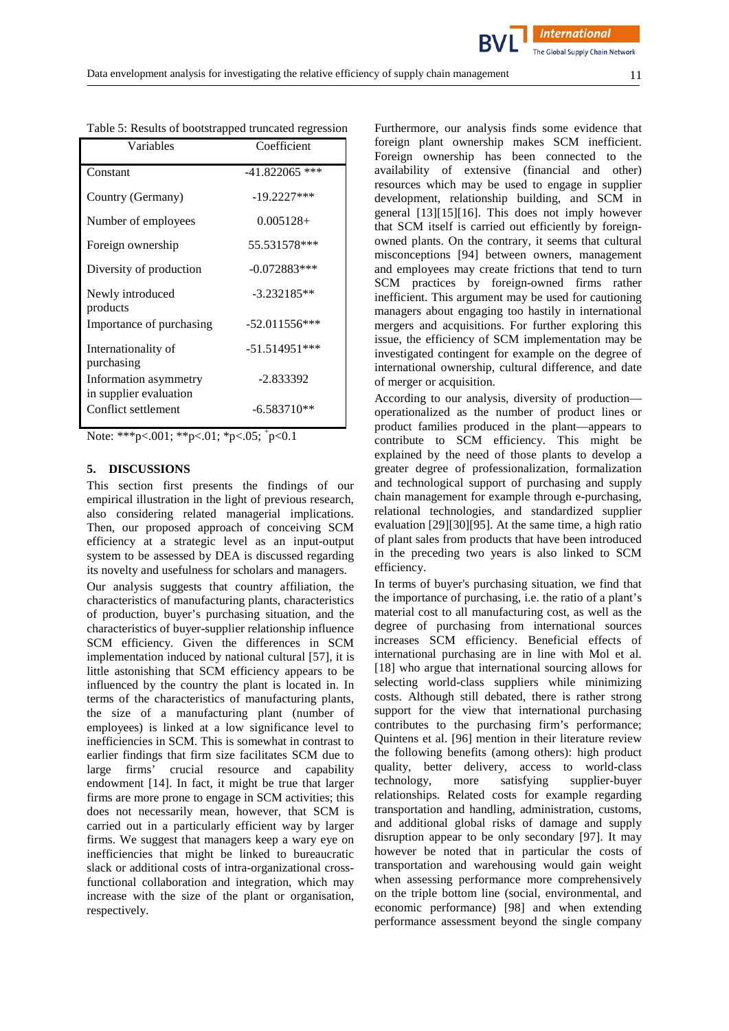**International** 

| Variables                                       | Coefficient      |
|-------------------------------------------------|------------------|
| Constant                                        | $-41.822065$ *** |
| Country (Germany)                               | $-19.2227***$    |
| Number of employees                             | $0.005128+$      |
| Foreign ownership                               | 55.531578***     |
| Diversity of production                         | $-0.072883***$   |
| Newly introduced<br>products                    | $-3.232185**$    |
| Importance of purchasing                        | $-52.011556***$  |
| Internationality of<br>purchasing               | $-51.514951***$  |
| Information asymmetry<br>in supplier evaluation | $-2.833392$      |
| Conflict settlement                             | $-6.583710**$    |

Table 5: Results of bootstrapped truncated regression

Note: \*\*\*p<.001; \*\*p<.01; \*p<.05; <sup>+</sup>p<0.1

# **5. DISCUSSIONS**

This section first presents the findings of our empirical illustration in the light of previous research, also considering related managerial implications. Then, our proposed approach of conceiving SCM efficiency at a strategic level as an input-output system to be assessed by DEA is discussed regarding its novelty and usefulness for scholars and managers.

Our analysis suggests that country affiliation, the characteristics of manufacturing plants, characteristics of production, buyer's purchasing situation, and the characteristics of buyer-supplier relationship influence SCM efficiency. Given the differences in SCM implementation induced by national cultural [\[57\]](#page-14-22), it is little astonishing that SCM efficiency appears to be influenced by the country the plant is located in. In terms of the characteristics of manufacturing plants, the size of a manufacturing plant (number of employees) is linked at a low significance level to inefficiencies in SCM. This is somewhat in contrast to earlier findings that firm size facilitates SCM due to large firms' crucial resource and capability endowment [\[14\]](#page-13-6). In fact, it might be true that larger firms are more prone to engage in SCM activities; this does not necessarily mean, however, that SCM is carried out in a particularly efficient way by larger firms. We suggest that managers keep a wary eye on inefficiencies that might be linked to bureaucratic slack or additional costs of intra-organizational crossfunctional collaboration and integration, which may increase with the size of the plant or organisation, respectively.

Furthermore, our analysis finds some evidence that foreign plant ownership makes SCM inefficient. Foreign ownership has been connected to the availability of extensive (financial and other) resources which may be used to engage in supplier development, relationship building, and SCM in general [\[13\]](#page-13-5)[\[15\]](#page-13-7)[\[16\]](#page-13-8). This does not imply however that SCM itself is carried out efficiently by foreignowned plants. On the contrary, it seems that cultural misconceptions [\[94\]](#page-16-5) between owners, management and employees may create frictions that tend to turn SCM practices by foreign-owned firms rather inefficient. This argument may be used for cautioning managers about engaging too hastily in international mergers and acquisitions. For further exploring this issue, the efficiency of SCM implementation may be investigated contingent for example on the degree of international ownership, cultural difference, and date of merger or acquisition.

According to our analysis, diversity of production operationalized as the number of product lines or product families produced in the plant—appears to contribute to SCM efficiency. This might be explained by the need of those plants to develop a greater degree of professionalization, formalization and technological support of purchasing and supply chain management for example through e-purchasing, relational technologies, and standardized supplier evaluation [\[29\]](#page-13-21)[\[30\]](#page-13-22)[\[95\]](#page-16-6). At the same time, a high ratio of plant sales from products that have been introduced in the preceding two years is also linked to SCM efficiency.

In terms of buyer's purchasing situation, we find that the importance of purchasing, i.e. the ratio of a plant's material cost to all manufacturing cost, as well as the degree of purchasing from international sources increases SCM efficiency. Beneficial effects of international purchasing are in line with Mol et al. [\[18\]](#page-13-10) who argue that international sourcing allows for selecting world-class suppliers while minimizing costs. Although still debated, there is rather strong support for the view that international purchasing contributes to the purchasing firm's performance; Quintens et al. [\[96\]](#page-16-7) mention in their literature review the following benefits (among others): high product quality, better delivery, access to world-class technology, more satisfying supplier-buyer relationships. Related costs for example regarding transportation and handling, administration, customs, and additional global risks of damage and supply disruption appear to be only secondary [\[97\]](#page-16-8). It may however be noted that in particular the costs of transportation and warehousing would gain weight when assessing performance more comprehensively on the triple bottom line (social, environmental, and economic performance) [\[98\]](#page-16-9) and when extending performance assessment beyond the single company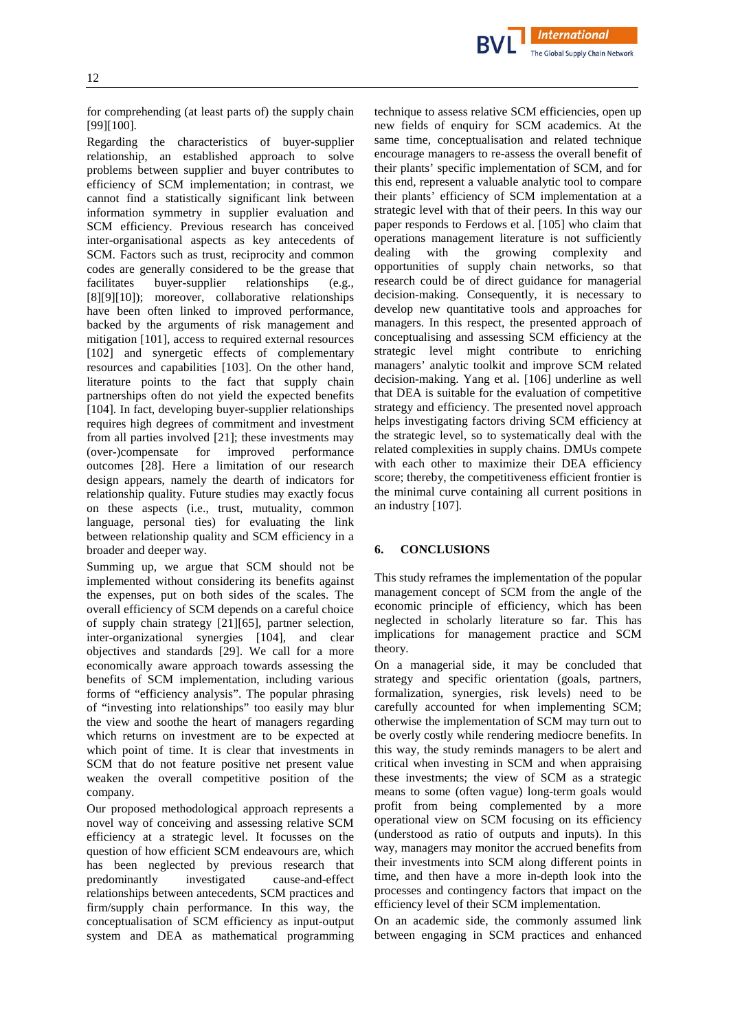for comprehending (at least parts of) the supply chain [\[99\]](#page-16-10)[\[100\]](#page-16-11).

Regarding the characteristics of buyer-supplier relationship, an established approach to solve problems between supplier and buyer contributes to efficiency of SCM implementation; in contrast, we cannot find a statistically significant link between information symmetry in supplier evaluation and SCM efficiency. Previous research has conceived inter-organisational aspects as key antecedents of SCM. Factors such as trust, reciprocity and common codes are generally considered to be the grease that facilitates buyer-supplier relationships (e.g., [\[8\]](#page-13-0)[\[9\]](#page-13-1)[\[10\]](#page-13-2)); moreover, collaborative relationships have been often linked to improved performance, backed by the arguments of risk management and mitigation [\[101\]](#page-16-12), access to required external resources [\[102\]](#page-16-13) and synergetic effects of complementary resources and capabilities [\[103\]](#page-16-14). On the other hand, literature points to the fact that supply chain partnerships often do not yield the expected benefits [\[104\]](#page-16-15). In fact, developing buyer-supplier relationships requires high degrees of commitment and investment from all parties involved [\[21\]](#page-13-13); these investments may (over-)compensate for improved performance outcomes [\[28\]](#page-13-20). Here a limitation of our research design appears, namely the dearth of indicators for relationship quality. Future studies may exactly focus on these aspects (i.e., trust, mutuality, common language, personal ties) for evaluating the link between relationship quality and SCM efficiency in a broader and deeper way.

Summing up, we argue that SCM should not be implemented without considering its benefits against the expenses, put on both sides of the scales. The overall efficiency of SCM depends on a careful choice of supply chain strategy [\[21\]](#page-13-13)[\[65\]](#page-15-3), partner selection, inter-organizational synergies [\[104\]](#page-16-15), and clear objectives and standards [\[29\]](#page-13-21). We call for a more economically aware approach towards assessing the benefits of SCM implementation, including various forms of "efficiency analysis". The popular phrasing of "investing into relationships" too easily may blur the view and soothe the heart of managers regarding which returns on investment are to be expected at which point of time. It is clear that investments in SCM that do not feature positive net present value weaken the overall competitive position of the company.

Our proposed methodological approach represents a novel way of conceiving and assessing relative SCM efficiency at a strategic level. It focusses on the question of how efficient SCM endeavours are, which has been neglected by previous research that predominantly investigated cause-and-effect relationships between antecedents, SCM practices and firm/supply chain performance. In this way, the conceptualisation of SCM efficiency as input-output system and DEA as mathematical programming technique to assess relative SCM efficiencies, open up new fields of enquiry for SCM academics. At the same time, conceptualisation and related technique encourage managers to re-assess the overall benefit of their plants' specific implementation of SCM, and for this end, represent a valuable analytic tool to compare their plants' efficiency of SCM implementation at a strategic level with that of their peers. In this way our paper responds to Ferdows et al. [\[105\]](#page-16-16) who claim that operations management literature is not sufficiently<br>dealing with the growing complexity and dealing with the growing complexity and opportunities of supply chain networks, so that research could be of direct guidance for managerial decision-making. Consequently, it is necessary to develop new quantitative tools and approaches for managers. In this respect, the presented approach of conceptualising and assessing SCM efficiency at the strategic level might contribute to enriching managers' analytic toolkit and improve SCM related decision-making. Yang et al. [\[106\]](#page-16-17) underline as well that DEA is suitable for the evaluation of competitive strategy and efficiency. The presented novel approach helps investigating factors driving SCM efficiency at the strategic level, so to systematically deal with the related complexities in supply chains. DMUs compete with each other to maximize their DEA efficiency score; thereby, the competitiveness efficient frontier is the minimal curve containing all current positions in an industry [\[107\]](#page-16-18).

**International** The Global Supply Chain Network

#### **6. CONCLUSIONS**

This study reframes the implementation of the popular management concept of SCM from the angle of the economic principle of efficiency, which has been neglected in scholarly literature so far. This has implications for management practice and SCM theory.

On a managerial side, it may be concluded that strategy and specific orientation (goals, partners, formalization, synergies, risk levels) need to be carefully accounted for when implementing SCM; otherwise the implementation of SCM may turn out to be overly costly while rendering mediocre benefits. In this way, the study reminds managers to be alert and critical when investing in SCM and when appraising these investments; the view of SCM as a strategic means to some (often vague) long-term goals would profit from being complemented by a more operational view on SCM focusing on its efficiency (understood as ratio of outputs and inputs). In this way, managers may monitor the accrued benefits from their investments into SCM along different points in time, and then have a more in-depth look into the processes and contingency factors that impact on the efficiency level of their SCM implementation.

On an academic side, the commonly assumed link between engaging in SCM practices and enhanced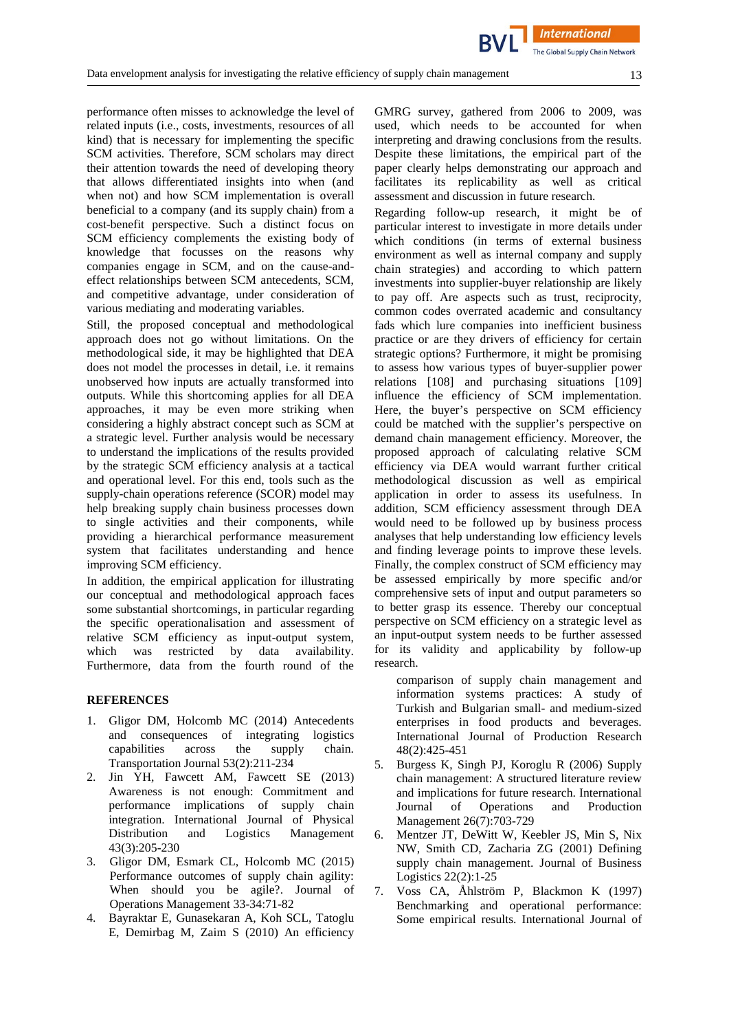performance often misses to acknowledge the level of related inputs (i.e., costs, investments, resources of all kind) that is necessary for implementing the specific SCM activities. Therefore, SCM scholars may direct their attention towards the need of developing theory that allows differentiated insights into when (and when not) and how SCM implementation is overall beneficial to a company (and its supply chain) from a cost-benefit perspective. Such a distinct focus on SCM efficiency complements the existing body of knowledge that focusses on the reasons why companies engage in SCM, and on the cause-andeffect relationships between SCM antecedents, SCM, and competitive advantage, under consideration of various mediating and moderating variables.

Still, the proposed conceptual and methodological approach does not go without limitations. On the methodological side, it may be highlighted that DEA does not model the processes in detail, i.e. it remains unobserved how inputs are actually transformed into outputs. While this shortcoming applies for all DEA approaches, it may be even more striking when considering a highly abstract concept such as SCM at a strategic level. Further analysis would be necessary to understand the implications of the results provided by the strategic SCM efficiency analysis at a tactical and operational level. For this end, tools such as the supply-chain operations reference (SCOR) model may help breaking supply chain business processes down to single activities and their components, while providing a hierarchical performance measurement system that facilitates understanding and hence improving SCM efficiency.

In addition, the empirical application for illustrating our conceptual and methodological approach faces some substantial shortcomings, in particular regarding the specific operationalisation and assessment of relative SCM efficiency as input-output system, which was restricted by data availability. Furthermore, data from the fourth round of the

#### **REFERENCES**

- <span id="page-12-0"></span>1. Gligor DM, Holcomb MC (2014) Antecedents and consequences of integrating logistics capabilities across the supply chain. Transportation Journal 53(2):211-234
- <span id="page-12-1"></span>2. Jin YH, Fawcett AM, Fawcett SE (2013) Awareness is not enough: Commitment and performance implications of supply chain integration. International Journal of Physical Distribution and Logistics Management 43(3):205-230
- <span id="page-12-2"></span>3. Gligor DM, Esmark CL, Holcomb MC (2015) Performance outcomes of supply chain agility: When should you be agile?. Journal of Operations Management 33-34:71-82
- <span id="page-12-3"></span>4. Bayraktar E, Gunasekaran A, Koh SCL, Tatoglu E, Demirbag M, Zaim S (2010) An efficiency

GMRG survey, gathered from 2006 to 2009, was used, which needs to be accounted for when interpreting and drawing conclusions from the results. Despite these limitations, the empirical part of the paper clearly helps demonstrating our approach and facilitates its replicability as well as critical assessment and discussion in future research.

Regarding follow-up research, it might be of particular interest to investigate in more details under which conditions (in terms of external business environment as well as internal company and supply chain strategies) and according to which pattern investments into supplier-buyer relationship are likely to pay off. Are aspects such as trust, reciprocity, common codes overrated academic and consultancy fads which lure companies into inefficient business practice or are they drivers of efficiency for certain strategic options? Furthermore, it might be promising to assess how various types of buyer-supplier power relations [\[108\]](#page-16-19) and purchasing situations [\[109\]](#page-16-20) influence the efficiency of SCM implementation. Here, the buyer's perspective on SCM efficiency could be matched with the supplier's perspective on demand chain management efficiency. Moreover, the proposed approach of calculating relative SCM efficiency via DEA would warrant further critical methodological discussion as well as empirical application in order to assess its usefulness. In addition, SCM efficiency assessment through DEA would need to be followed up by business process analyses that help understanding low efficiency levels and finding leverage points to improve these levels. Finally, the complex construct of SCM efficiency may be assessed empirically by more specific and/or comprehensive sets of input and output parameters so to better grasp its essence. Thereby our conceptual perspective on SCM efficiency on a strategic level as an input-output system needs to be further assessed for its validity and applicability by follow-up research.

comparison of supply chain management and information systems practices: A study of Turkish and Bulgarian small- and medium-sized enterprises in food products and beverages. International Journal of Production Research 48(2):425-451

- <span id="page-12-4"></span>5. Burgess K, Singh PJ, Koroglu R (2006) Supply chain management: A structured literature review and implications for future research. International Journal of Operations and Production Management 26(7):703-729
- <span id="page-12-5"></span>6. Mentzer JT, DeWitt W, Keebler JS, Min S, Nix NW, Smith CD, Zacharia ZG (2001) Defining supply chain management. Journal of Business Logistics 22(2):1-25
- <span id="page-12-6"></span>7. Voss CA, Åhlström P, Blackmon K (1997) Benchmarking and operational performance: Some empirical results. International Journal of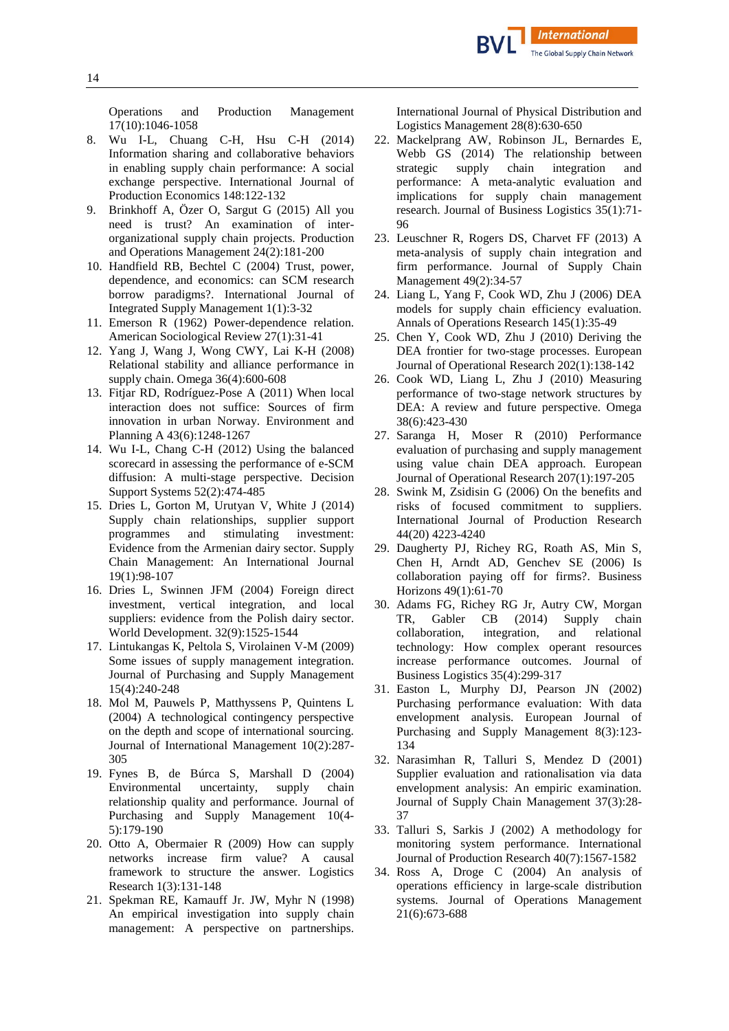Operations and Production Management 17(10):1046-1058

- <span id="page-13-0"></span>8. Wu I-L, Chuang C-H, Hsu C-H (2014) Information sharing and collaborative behaviors in enabling supply chain performance: A social exchange perspective. International Journal of Production Economics 148:122-132
- <span id="page-13-1"></span>9. Brinkhoff A, Özer O, Sargut G (2015) All you need is trust? An examination of interorganizational supply chain projects. Production and Operations Management 24(2):181-200
- <span id="page-13-2"></span>10. Handfield RB, Bechtel C (2004) Trust, power, dependence, and economics: can SCM research borrow paradigms?. International Journal of Integrated Supply Management 1(1):3-32
- <span id="page-13-3"></span>11. Emerson R (1962) Power-dependence relation. American Sociological Review 27(1):31-41
- <span id="page-13-4"></span>12. Yang J, Wang J, Wong CWY, Lai K-H (2008) Relational stability and alliance performance in supply chain. Omega 36(4):600-608
- <span id="page-13-5"></span>13. Fitjar RD, Rodríguez-Pose A (2011) When local interaction does not suffice: Sources of firm innovation in urban Norway. Environment and Planning A 43(6):1248-1267
- <span id="page-13-6"></span>14. Wu I-L, Chang C-H (2012) Using the balanced scorecard in assessing the performance of e-SCM diffusion: A multi-stage perspective. Decision Support Systems 52(2):474-485
- <span id="page-13-7"></span>15. Dries L, Gorton M, Urutyan V, White J (2014) Supply chain relationships, supplier support programmes and stimulating investment: Evidence from the Armenian dairy sector. Supply Chain Management: An International Journal 19(1):98-107
- <span id="page-13-8"></span>16. Dries L, Swinnen JFM (2004) Foreign direct investment, vertical integration, and local suppliers: evidence from the Polish dairy sector. World Development. 32(9):1525-1544
- <span id="page-13-9"></span>17. Lintukangas K, Peltola S, Virolainen V-M (2009) Some issues of supply management integration. Journal of Purchasing and Supply Management 15(4):240-248
- <span id="page-13-10"></span>18. Mol M, Pauwels P, Matthyssens P, Quintens L (2004) A technological contingency perspective on the depth and scope of international sourcing. Journal of International Management 10(2):287- 305
- <span id="page-13-11"></span>19. Fynes B, de Búrca S, Marshall D (2004) Environmental uncertainty, supply chain relationship quality and performance. Journal of Purchasing and Supply Management 10(4- 5):179-190
- <span id="page-13-12"></span>20. Otto A, Obermaier R (2009) How can supply networks increase firm value? A causal framework to structure the answer. Logistics Research 1(3):131-148
- <span id="page-13-13"></span>21. Spekman RE, Kamauff Jr. JW, Myhr N (1998) An empirical investigation into supply chain management: A perspective on partnerships.

International Journal of Physical Distribution and Logistics Management 28(8):630-650

- <span id="page-13-14"></span>22. Mackelprang AW, Robinson JL, Bernardes E, Webb GS (2014) The relationship between<br>strategic supply chain integration and integration and performance: A meta-analytic evaluation and implications for supply chain management research. Journal of Business Logistics 35(1):71- 96
- <span id="page-13-15"></span>23. Leuschner R, Rogers DS, Charvet FF (2013) A meta-analysis of supply chain integration and firm performance. Journal of Supply Chain Management 49(2):34-57
- <span id="page-13-16"></span>24. Liang L, Yang F, Cook WD, Zhu J (2006) DEA models for supply chain efficiency evaluation. Annals of Operations Research 145(1):35-49
- <span id="page-13-17"></span>25. Chen Y, Cook WD, Zhu J (2010) Deriving the DEA frontier for two-stage processes. European Journal of Operational Research 202(1):138-142
- <span id="page-13-18"></span>26. Cook WD, Liang L, Zhu J (2010) Measuring performance of two-stage network structures by DEA: A review and future perspective. Omega 38(6):423-430
- <span id="page-13-19"></span>27. Saranga H, Moser R (2010) Performance evaluation of purchasing and supply management using value chain DEA approach. European Journal of Operational Research 207(1):197-205
- <span id="page-13-20"></span>28. Swink M, Zsidisin G (2006) On the benefits and risks of focused commitment to suppliers. International Journal of Production Research 44(20) 4223-4240
- <span id="page-13-21"></span>29. Daugherty PJ, Richey RG, Roath AS, Min S, Chen H, Arndt AD, Genchev SE (2006) Is collaboration paying off for firms?. Business Horizons 49(1):61-70
- <span id="page-13-22"></span>30. Adams FG, Richey RG Jr, Autry CW, Morgan TR, Gabler CB (2014) Supply chain collaboration, integration, and relational technology: How complex operant resources increase performance outcomes. Journal of Business Logistics 35(4):299-317
- <span id="page-13-23"></span>31. Easton L, Murphy DJ, Pearson JN (2002) Purchasing performance evaluation: With data envelopment analysis. European Journal of Purchasing and Supply Management 8(3):123- 134
- <span id="page-13-24"></span>32. Narasimhan R, Talluri S, Mendez D (2001) Supplier evaluation and rationalisation via data envelopment analysis: An empiric examination. Journal of Supply Chain Management 37(3):28- 37
- <span id="page-13-25"></span>33. Talluri S, Sarkis J (2002) A methodology for monitoring system performance. International Journal of Production Research 40(7):1567-1582
- <span id="page-13-26"></span>34. Ross A, Droge C (2004) An analysis of operations efficiency in large-scale distribution systems. Journal of Operations Management 21(6):673-688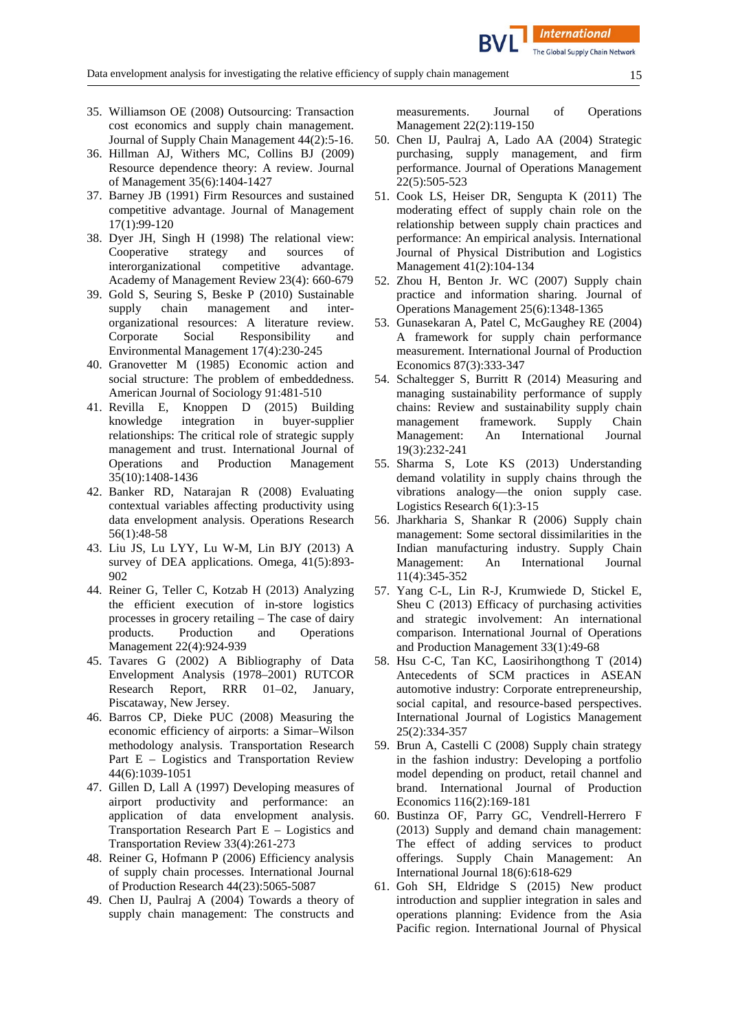**International** 

- <span id="page-14-0"></span>35. Williamson OE (2008) Outsourcing: Transaction cost economics and supply chain management. Journal of Supply Chain Management 44(2):5-16.
- <span id="page-14-1"></span>36. Hillman AJ, Withers MC, Collins BJ (2009) Resource dependence theory: A review. Journal of Management 35(6):1404-1427
- <span id="page-14-2"></span>37. Barney JB (1991) Firm Resources and sustained competitive advantage. Journal of Management 17(1):99-120
- <span id="page-14-3"></span>38. Dyer JH, Singh H (1998) The relational view: Cooperative strategy and sources of interorganizational competitive advantage. Academy of Management Review 23(4): 660-679
- <span id="page-14-4"></span>39. Gold S, Seuring S, Beske P (2010) Sustainable supply chain management and interorganizational resources: A literature review. Corporate Social Responsibility and Environmental Management 17(4):230-245
- <span id="page-14-5"></span>40. Granovetter M (1985) Economic action and social structure: The problem of embeddedness. American Journal of Sociology 91:481-510<br>41. Revilla E, Knoppen D (2015) Bu
- <span id="page-14-6"></span>Knoppen D (2015) Building knowledge integration in buyer-supplier relationships: The critical role of strategic supply management and trust. International Journal of Operations and Production Management 35(10):1408-1436
- <span id="page-14-7"></span>42. Banker RD, Natarajan R (2008) Evaluating contextual variables affecting productivity using data envelopment analysis. Operations Research 56(1):48-58
- <span id="page-14-8"></span>43. Liu JS, Lu LYY, Lu W-M, Lin BJY (2013) A survey of DEA applications. Omega, 41(5):893- 902
- <span id="page-14-9"></span>44. Reiner G, Teller C, Kotzab H (2013) Analyzing the efficient execution of in-store logistics processes in grocery retailing – The case of dairy products. Production and Operations Management 22(4):924-939
- <span id="page-14-10"></span>45. Tavares G (2002) A Bibliography of Data Envelopment Analysis (1978–2001) RUTCOR Research Report, RRR 01–02, January, Piscataway, New Jersey.
- <span id="page-14-11"></span>46. Barros CP, Dieke PUC (2008) Measuring the economic efficiency of airports: a Simar–Wilson methodology analysis. Transportation Research Part E – Logistics and Transportation Review 44(6):1039-1051
- <span id="page-14-12"></span>47. Gillen D, Lall A (1997) Developing measures of airport productivity and performance: an application of data envelopment analysis. Transportation Research Part E – Logistics and Transportation Review 33(4):261-273
- <span id="page-14-13"></span>48. Reiner G, Hofmann P (2006) Efficiency analysis of supply chain processes. International Journal of Production Research 44(23):5065-5087
- <span id="page-14-14"></span>49. Chen IJ, Paulraj A (2004) Towards a theory of supply chain management: The constructs and

measurements. Journal of Operations Management 22(2):119-150

- <span id="page-14-15"></span>50. Chen IJ, Paulraj A, Lado AA (2004) Strategic purchasing, supply management, and firm performance. Journal of Operations Management 22(5):505-523
- <span id="page-14-16"></span>51. Cook LS, Heiser DR, Sengupta K (2011) The moderating effect of supply chain role on the relationship between supply chain practices and performance: An empirical analysis. International Journal of Physical Distribution and Logistics Management 41(2):104-134
- <span id="page-14-17"></span>52. Zhou H, Benton Jr. WC (2007) Supply chain practice and information sharing. Journal of Operations Management 25(6):1348-1365
- <span id="page-14-18"></span>53. Gunasekaran A, Patel C, McGaughey RE (2004) A framework for supply chain performance measurement. International Journal of Production Economics 87(3):333-347
- <span id="page-14-19"></span>54. Schaltegger S, Burritt R (2014) Measuring and managing sustainability performance of supply chains: Review and sustainability supply chain management framework. Supply Chain Management: An International Journal 19(3):232-241
- <span id="page-14-20"></span>55. Sharma S, Lote KS (2013) Understanding demand volatility in supply chains through the vibrations analogy—the onion supply case. Logistics Research 6(1):3-15
- <span id="page-14-21"></span>56. Jharkharia S, Shankar R (2006) Supply chain management: Some sectoral dissimilarities in the Indian manufacturing industry. Supply Chain Management: An International Journal 11(4):345-352
- <span id="page-14-22"></span>57. Yang C-L, Lin R-J, Krumwiede D, Stickel E, Sheu C (2013) Efficacy of purchasing activities and strategic involvement: An international comparison. International Journal of Operations and Production Management 33(1):49-68
- <span id="page-14-23"></span>58. Hsu C-C, Tan KC, Laosirihongthong T (2014) Antecedents of SCM practices in ASEAN automotive industry: Corporate entrepreneurship, social capital, and resource-based perspectives. International Journal of Logistics Management 25(2):334-357
- <span id="page-14-24"></span>59. Brun A, Castelli C (2008) Supply chain strategy in the fashion industry: Developing a portfolio model depending on product, retail channel and brand. International Journal of Production Economics 116(2):169-181
- <span id="page-14-25"></span>60. Bustinza OF, Parry GC, Vendrell-Herrero F (2013) Supply and demand chain management: The effect of adding services to product offerings. Supply Chain Management: An International Journal 18(6):618-629
- <span id="page-14-26"></span>61. Goh SH, Eldridge S (2015) New product introduction and supplier integration in sales and operations planning: Evidence from the Asia Pacific region. International Journal of Physical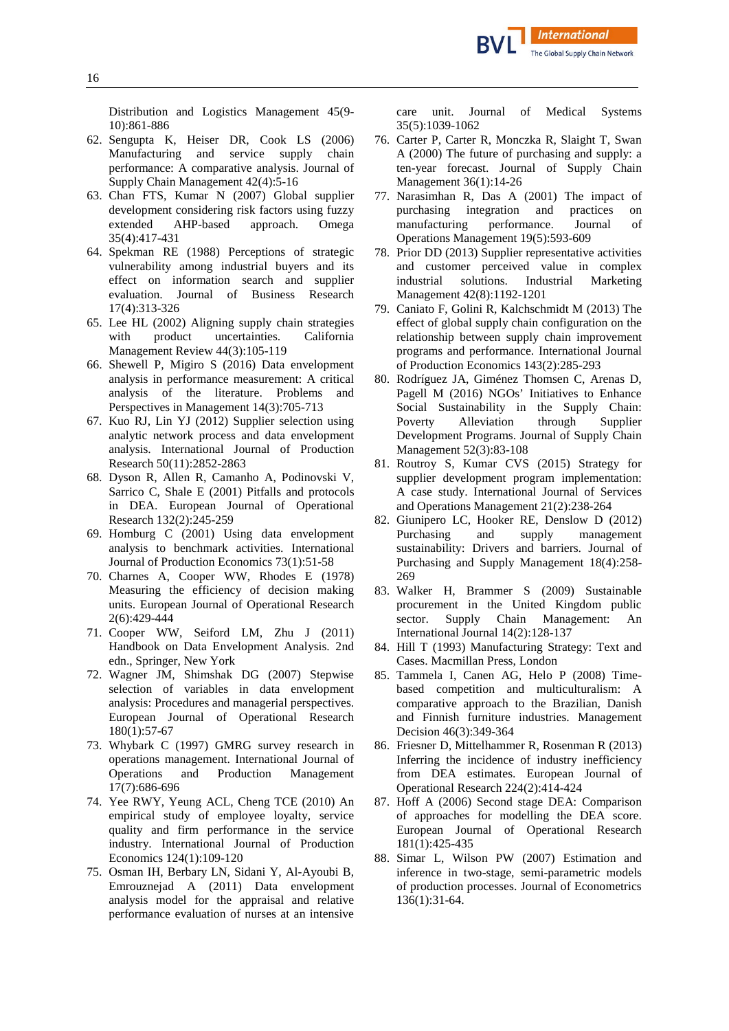Distribution and Logistics Management 45(9- 10):861-886

- <span id="page-15-0"></span>62. Sengupta K, Heiser DR, Cook LS (2006) Manufacturing and service supply chain performance: A comparative analysis. Journal of Supply Chain Management 42(4):5-16
- <span id="page-15-1"></span>63. Chan FTS, Kumar N (2007) Global supplier development considering risk factors using fuzzy<br>extended AHP-based approach. Omega AHP-based approach. Omega 35(4):417-431
- <span id="page-15-2"></span>64. Spekman RE (1988) Perceptions of strategic vulnerability among industrial buyers and its effect on information search and supplier evaluation. Journal of Business Research 17(4):313-326
- <span id="page-15-3"></span>65. Lee HL (2002) Aligning supply chain strategies with product uncertainties. California Management Review 44(3):105-119
- <span id="page-15-4"></span>66. Shewell P, Migiro S (2016) Data envelopment analysis in performance measurement: A critical analysis of the literature. Problems and Perspectives in Management 14(3):705-713
- <span id="page-15-5"></span>67. Kuo RJ, Lin YJ (2012) Supplier selection using analytic network process and data envelopment analysis. International Journal of Production Research 50(11):2852-2863
- <span id="page-15-6"></span>68. Dyson R, Allen R, Camanho A, Podinovski V, Sarrico C, Shale E (2001) Pitfalls and protocols in DEA. European Journal of Operational Research 132(2):245-259
- <span id="page-15-7"></span>69. Homburg C (2001) Using data envelopment analysis to benchmark activities. International Journal of Production Economics 73(1):51-58
- <span id="page-15-8"></span>70. Charnes A, Cooper WW, Rhodes E (1978) Measuring the efficiency of decision making units. European Journal of Operational Research 2(6):429-444
- <span id="page-15-9"></span>71. Cooper WW, Seiford LM, Zhu J (2011) Handbook on Data Envelopment Analysis. 2nd edn., Springer, New York
- <span id="page-15-10"></span>72. Wagner JM, Shimshak DG (2007) Stepwise selection of variables in data envelopment analysis: Procedures and managerial perspectives. European Journal of Operational Research 180(1):57-67
- <span id="page-15-11"></span>73. Whybark C (1997) GMRG survey research in operations management. International Journal of Operations and Production Management 17(7):686-696
- <span id="page-15-12"></span>74. Yee RWY, Yeung ACL, Cheng TCE (2010) An empirical study of employee loyalty, service quality and firm performance in the service industry. International Journal of Production Economics 124(1):109-120
- <span id="page-15-13"></span>75. Osman IH, Berbary LN, Sidani Y, Al-Ayoubi B, Emrouznejad A (2011) Data envelopment analysis model for the appraisal and relative performance evaluation of nurses at an intensive

care unit. Journal of Medical Systems 35(5):1039-1062

- <span id="page-15-14"></span>76. Carter P, Carter R, Monczka R, Slaight T, Swan A (2000) The future of purchasing and supply: a ten-year forecast. Journal of Supply Chain Management 36(1):14-26
- <span id="page-15-15"></span>77. Narasimhan R, Das A (2001) The impact of purchasing integration and practices on purchasing integration and practices on<br>manufacturing performance. Journal of manufacturing performance. Operations Management 19(5):593-609
- <span id="page-15-16"></span>78. Prior DD (2013) Supplier representative activities and customer perceived value in complex industrial solutions. Industrial Marketing Management 42(8):1192-1201
- <span id="page-15-17"></span>79. Caniato F, Golini R, Kalchschmidt M (2013) The effect of global supply chain configuration on the relationship between supply chain improvement programs and performance. International Journal of Production Economics 143(2):285-293
- <span id="page-15-18"></span>80. Rodríguez JA, Giménez Thomsen C, Arenas D, Pagell M (2016) NGOs' Initiatives to Enhance Social Sustainability in the Supply Chain:<br>Poverty Alleviation through Supplier Alleviation through Supplier Development Programs. Journal of Supply Chain Management 52(3):83-108
- <span id="page-15-19"></span>81. Routroy S, Kumar CVS (2015) Strategy for supplier development program implementation: A case study. International Journal of Services and Operations Management 21(2):238-264
- <span id="page-15-20"></span>82. Giunipero LC, Hooker RE, Denslow D (2012) Purchasing and supply management sustainability: Drivers and barriers. Journal of Purchasing and Supply Management 18(4):258- 269
- <span id="page-15-21"></span>83. Walker H, Brammer S (2009) Sustainable procurement in the United Kingdom public<br>sector. Supply Chain Management: An sector. Supply Chain Management: An International Journal 14(2):128-137
- <span id="page-15-22"></span>84. Hill T (1993) Manufacturing Strategy: Text and Cases. Macmillan Press, London
- <span id="page-15-23"></span>85. Tammela I, Canen AG, Helo P (2008) Timebased competition and multiculturalism: A comparative approach to the Brazilian, Danish and Finnish furniture industries. Management Decision 46(3):349-364
- <span id="page-15-24"></span>86. Friesner D, Mittelhammer R, Rosenman R (2013) Inferring the incidence of industry inefficiency from DEA estimates. European Journal of Operational Research 224(2):414-424
- <span id="page-15-25"></span>87. Hoff A (2006) Second stage DEA: Comparison of approaches for modelling the DEA score. European Journal of Operational Research 181(1):425-435
- <span id="page-15-26"></span>88. Simar L, Wilson PW (2007) Estimation and inference in two-stage, semi-parametric models of production processes. Journal of Econometrics 136(1):31-64.